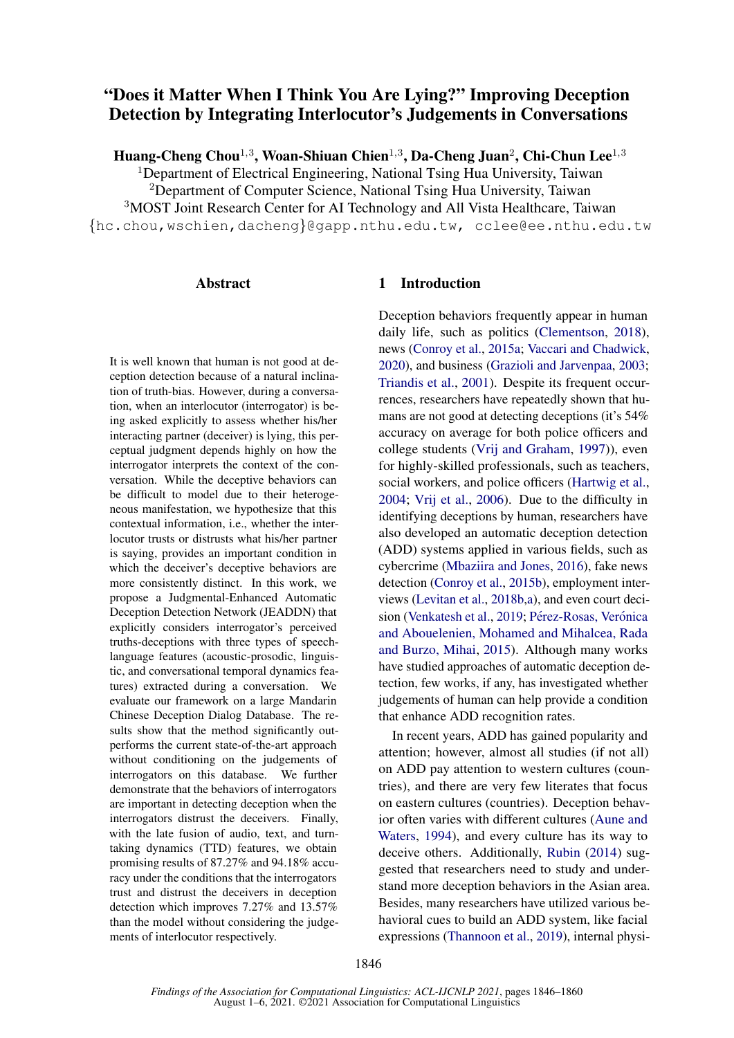# "Does it Matter When I Think You Are Lying?" Improving Deception Detection by Integrating Interlocutor's Judgements in Conversations

Huang-Cheng Chou $^{1,3}$ , Woan-Shiuan Chien $^{1,3}$ , Da-Cheng Juan $^2$ , Chi-Chun Lee $^{1,3}$ 

<sup>1</sup>Department of Electrical Engineering, National Tsing Hua University, Taiwan <sup>2</sup>Department of Computer Science, National Tsing Hua University, Taiwan <sup>3</sup>MOST Joint Research Center for AI Technology and All Vista Healthcare, Taiwan {hc.chou,wschien,dacheng}@gapp.nthu.edu.tw, cclee@ee.nthu.edu.tw

### Abstract

It is well known that human is not good at deception detection because of a natural inclination of truth-bias. However, during a conversation, when an interlocutor (interrogator) is being asked explicitly to assess whether his/her interacting partner (deceiver) is lying, this perceptual judgment depends highly on how the interrogator interprets the context of the conversation. While the deceptive behaviors can be difficult to model due to their heterogeneous manifestation, we hypothesize that this contextual information, i.e., whether the interlocutor trusts or distrusts what his/her partner is saying, provides an important condition in which the deceiver's deceptive behaviors are more consistently distinct. In this work, we propose a Judgmental-Enhanced Automatic Deception Detection Network (JEADDN) that explicitly considers interrogator's perceived truths-deceptions with three types of speechlanguage features (acoustic-prosodic, linguistic, and conversational temporal dynamics features) extracted during a conversation. We evaluate our framework on a large Mandarin Chinese Deception Dialog Database. The results show that the method significantly outperforms the current state-of-the-art approach without conditioning on the judgements of interrogators on this database. We further demonstrate that the behaviors of interrogators are important in detecting deception when the interrogators distrust the deceivers. Finally, with the late fusion of audio, text, and turntaking dynamics (TTD) features, we obtain promising results of 87.27% and 94.18% accuracy under the conditions that the interrogators trust and distrust the deceivers in deception detection which improves 7.27% and 13.57% than the model without considering the judgements of interlocutor respectively.

### 1 Introduction

Deception behaviors frequently appear in human daily life, such as politics [\(Clementson,](#page-9-0) [2018\)](#page-9-0), news [\(Conroy et al.,](#page-9-1) [2015a;](#page-9-1) [Vaccari and Chadwick,](#page-11-0) [2020\)](#page-11-0), and business [\(Grazioli and Jarvenpaa,](#page-9-2) [2003;](#page-9-2) [Triandis et al.,](#page-11-1) [2001\)](#page-11-1). Despite its frequent occurrences, researchers have repeatedly shown that humans are not good at detecting deceptions (it's 54% accuracy on average for both police officers and college students [\(Vrij and Graham,](#page-11-2) [1997\)](#page-11-2)), even for highly-skilled professionals, such as teachers, social workers, and police officers [\(Hartwig et al.,](#page-9-3) [2004;](#page-9-3) [Vrij et al.,](#page-11-3) [2006\)](#page-11-3). Due to the difficulty in identifying deceptions by human, researchers have also developed an automatic deception detection (ADD) systems applied in various fields, such as cybercrime [\(Mbaziira and Jones,](#page-10-0) [2016\)](#page-10-0), fake news detection [\(Conroy et al.,](#page-9-4) [2015b\)](#page-9-4), employment interviews [\(Levitan et al.,](#page-10-1) [2018b,](#page-10-1)[a\)](#page-10-2), and even court deci-sion [\(Venkatesh et al.,](#page-11-4) [2019;](#page-11-4) Pérez-Rosas, Verónica [and Abouelenien, Mohamed and Mihalcea, Rada](#page-10-3) [and Burzo, Mihai,](#page-10-3) [2015\)](#page-10-3). Although many works have studied approaches of automatic deception detection, few works, if any, has investigated whether judgements of human can help provide a condition that enhance ADD recognition rates.

In recent years, ADD has gained popularity and attention; however, almost all studies (if not all) on ADD pay attention to western cultures (countries), and there are very few literates that focus on eastern cultures (countries). Deception behavior often varies with different cultures [\(Aune and](#page-9-5) [Waters,](#page-9-5) [1994\)](#page-9-5), and every culture has its way to deceive others. Additionally, [Rubin](#page-10-4) [\(2014\)](#page-10-4) suggested that researchers need to study and understand more deception behaviors in the Asian area. Besides, many researchers have utilized various behavioral cues to build an ADD system, like facial expressions [\(Thannoon et al.,](#page-11-5) [2019\)](#page-11-5), internal physi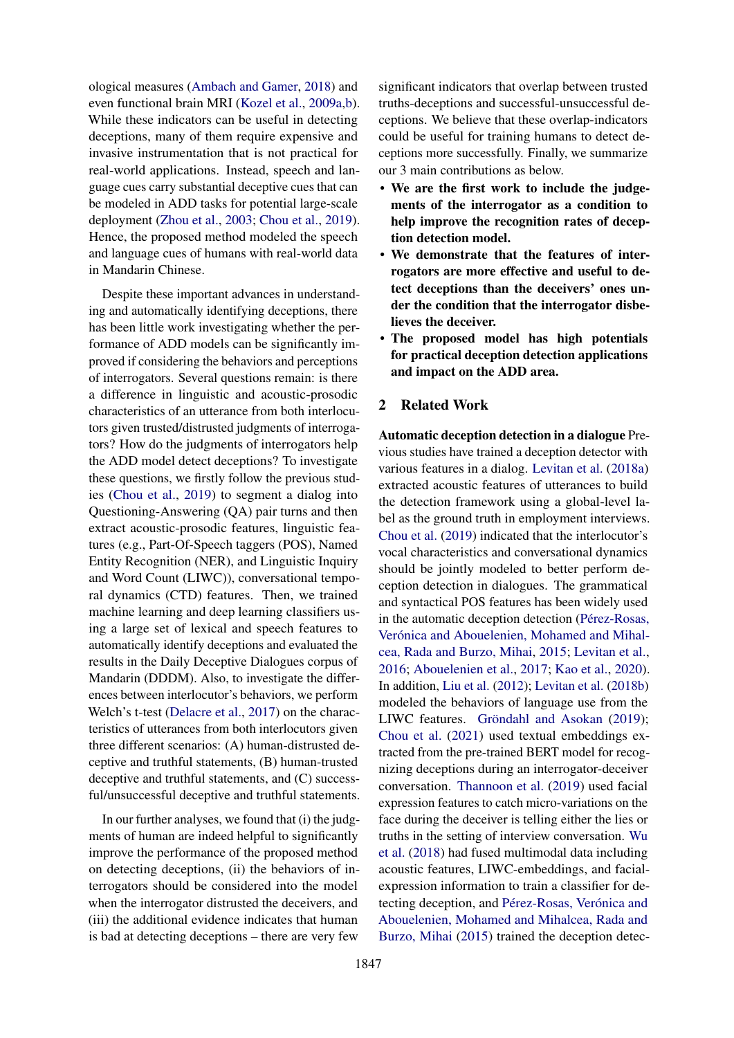ological measures [\(Ambach and Gamer,](#page-9-6) [2018\)](#page-9-6) and even functional brain MRI [\(Kozel et al.,](#page-10-5) [2009a](#page-10-5)[,b\)](#page-10-6). While these indicators can be useful in detecting deceptions, many of them require expensive and invasive instrumentation that is not practical for real-world applications. Instead, speech and language cues carry substantial deceptive cues that can be modeled in ADD tasks for potential large-scale deployment [\(Zhou et al.,](#page-11-6) [2003;](#page-11-6) [Chou et al.,](#page-9-7) [2019\)](#page-9-7). Hence, the proposed method modeled the speech and language cues of humans with real-world data in Mandarin Chinese.

Despite these important advances in understanding and automatically identifying deceptions, there has been little work investigating whether the performance of ADD models can be significantly improved if considering the behaviors and perceptions of interrogators. Several questions remain: is there a difference in linguistic and acoustic-prosodic characteristics of an utterance from both interlocutors given trusted/distrusted judgments of interrogators? How do the judgments of interrogators help the ADD model detect deceptions? To investigate these questions, we firstly follow the previous studies [\(Chou et al.,](#page-9-7) [2019\)](#page-9-7) to segment a dialog into Questioning-Answering (QA) pair turns and then extract acoustic-prosodic features, linguistic features (e.g., Part-Of-Speech taggers (POS), Named Entity Recognition (NER), and Linguistic Inquiry and Word Count (LIWC)), conversational temporal dynamics (CTD) features. Then, we trained machine learning and deep learning classifiers using a large set of lexical and speech features to automatically identify deceptions and evaluated the results in the Daily Deceptive Dialogues corpus of Mandarin (DDDM). Also, to investigate the differences between interlocutor's behaviors, we perform Welch's t-test [\(Delacre et al.,](#page-9-8) [2017\)](#page-9-8) on the characteristics of utterances from both interlocutors given three different scenarios: (A) human-distrusted deceptive and truthful statements, (B) human-trusted deceptive and truthful statements, and (C) successful/unsuccessful deceptive and truthful statements.

In our further analyses, we found that (i) the judgments of human are indeed helpful to significantly improve the performance of the proposed method on detecting deceptions, (ii) the behaviors of interrogators should be considered into the model when the interrogator distrusted the deceivers, and (iii) the additional evidence indicates that human is bad at detecting deceptions – there are very few

significant indicators that overlap between trusted truths-deceptions and successful-unsuccessful deceptions. We believe that these overlap-indicators could be useful for training humans to detect deceptions more successfully. Finally, we summarize our 3 main contributions as below.

- We are the first work to include the judgements of the interrogator as a condition to help improve the recognition rates of deception detection model.
- We demonstrate that the features of interrogators are more effective and useful to detect deceptions than the deceivers' ones under the condition that the interrogator disbelieves the deceiver.
- The proposed model has high potentials for practical deception detection applications and impact on the ADD area.

## 2 Related Work

Automatic deception detection in a dialogue Previous studies have trained a deception detector with various features in a dialog. [Levitan et al.](#page-10-2) [\(2018a\)](#page-10-2) extracted acoustic features of utterances to build the detection framework using a global-level label as the ground truth in employment interviews. [Chou et al.](#page-9-7) [\(2019\)](#page-9-7) indicated that the interlocutor's vocal characteristics and conversational dynamics should be jointly modeled to better perform deception detection in dialogues. The grammatical and syntactical POS features has been widely used in the automatic deception detection (Pérez-Rosas, Verónica and Abouelenien, Mohamed and Mihal[cea, Rada and Burzo, Mihai,](#page-10-3) [2015;](#page-10-3) [Levitan et al.,](#page-10-7) [2016;](#page-10-7) [Abouelenien et al.,](#page-9-9) [2017;](#page-9-9) [Kao et al.,](#page-10-8) [2020\)](#page-10-8). In addition, [Liu et al.](#page-10-9) [\(2012\)](#page-10-9); [Levitan et al.](#page-10-1) [\(2018b\)](#page-10-1) modeled the behaviors of language use from the LIWC features. Gröndahl and Asokan [\(2019\)](#page-9-10); [Chou et al.](#page-9-11) [\(2021\)](#page-9-11) used textual embeddings extracted from the pre-trained BERT model for recognizing deceptions during an interrogator-deceiver conversation. [Thannoon et al.](#page-11-5) [\(2019\)](#page-11-5) used facial expression features to catch micro-variations on the face during the deceiver is telling either the lies or truths in the setting of interview conversation. [Wu](#page-11-7) [et al.](#page-11-7) [\(2018\)](#page-11-7) had fused multimodal data including acoustic features, LIWC-embeddings, and facialexpression information to train a classifier for detecting deception, and Pérez-Rosas, Verónica and [Abouelenien, Mohamed and Mihalcea, Rada and](#page-10-3) [Burzo, Mihai](#page-10-3) [\(2015\)](#page-10-3) trained the deception detec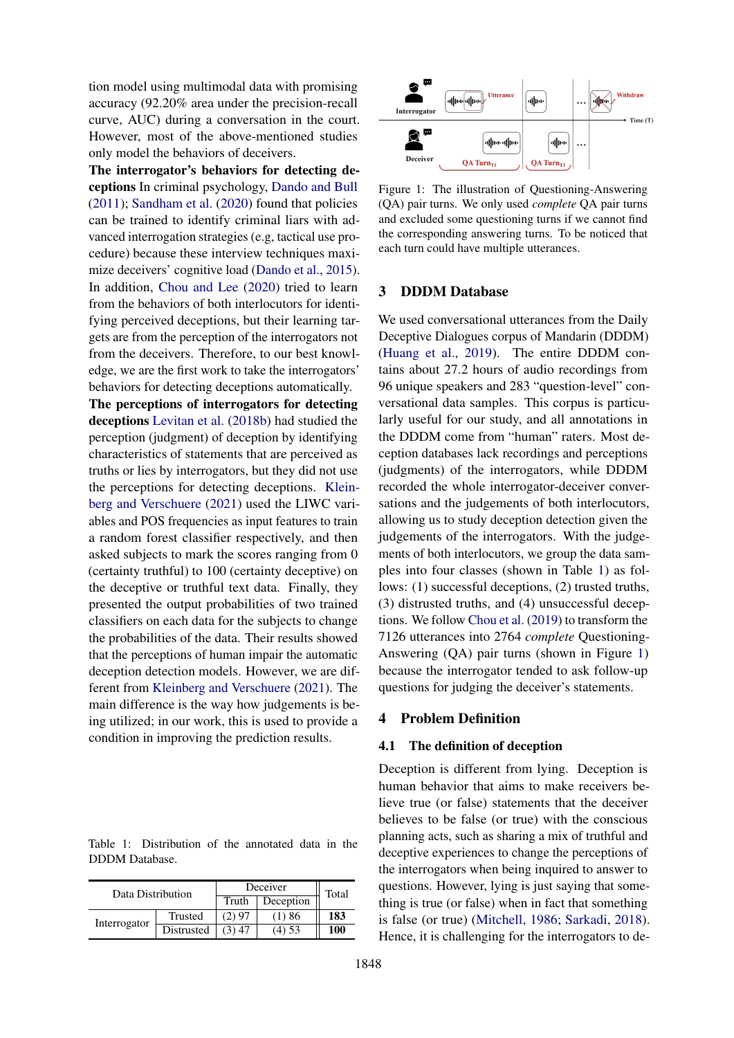tion model using multimodal data with promising accuracy (92.20% area under the precision-recall curve, AUC) during a conversation in the court. However, most of the above-mentioned studies only model the behaviors of deceivers.

The interrogator's behaviors for detecting deceptions In criminal psychology, [Dando and Bull](#page-9-12) [\(2011\)](#page-9-12); [Sandham et al.](#page-10-10) [\(2020\)](#page-10-10) found that policies can be trained to identify criminal liars with advanced interrogation strategies (e.g, tactical use procedure) because these interview techniques maximize deceivers' cognitive load [\(Dando et al.,](#page-9-13) [2015\)](#page-9-13). In addition, [Chou and Lee](#page-9-14) [\(2020\)](#page-9-14) tried to learn from the behaviors of both interlocutors for identifying perceived deceptions, but their learning targets are from the perception of the interrogators not from the deceivers. Therefore, to our best knowledge, we are the first work to take the interrogators' behaviors for detecting deceptions automatically.

The perceptions of interrogators for detecting deceptions [Levitan et al.](#page-10-1) [\(2018b\)](#page-10-1) had studied the perception (judgment) of deception by identifying characteristics of statements that are perceived as truths or lies by interrogators, but they did not use the perceptions for detecting deceptions. [Klein](#page-10-11)[berg and Verschuere](#page-10-11) [\(2021\)](#page-10-11) used the LIWC variables and POS frequencies as input features to train a random forest classifier respectively, and then asked subjects to mark the scores ranging from 0 (certainty truthful) to 100 (certainty deceptive) on the deceptive or truthful text data. Finally, they presented the output probabilities of two trained classifiers on each data for the subjects to change the probabilities of the data. Their results showed that the perceptions of human impair the automatic deception detection models. However, we are different from [Kleinberg and Verschuere](#page-10-11) [\(2021\)](#page-10-11). The main difference is the way how judgements is being utilized; in our work, this is used to provide a condition in improving the prediction results.

<span id="page-2-0"></span>Table 1: Distribution of the annotated data in the DDDM Database.

| Data Distribution |            | Deceiver | Total     |     |
|-------------------|------------|----------|-----------|-----|
|                   |            | Truth    | Deception |     |
| Interrogator      | Trusted    | (2) 97   | (1)86     | 183 |
|                   | Distrusted | $(3)$ 47 | $(4)$ 53  | 100 |

<span id="page-2-1"></span>

Figure 1: The illustration of Questioning-Answering (QA) pair turns. We only used *complete* QA pair turns and excluded some questioning turns if we cannot find the corresponding answering turns. To be noticed that each turn could have multiple utterances.

### 3 DDDM Database

We used conversational utterances from the Daily Deceptive Dialogues corpus of Mandarin (DDDM) [\(Huang et al.,](#page-9-15) [2019\)](#page-9-15). The entire DDDM contains about 27.2 hours of audio recordings from 96 unique speakers and 283 "question-level" conversational data samples. This corpus is particularly useful for our study, and all annotations in the DDDM come from "human" raters. Most deception databases lack recordings and perceptions (judgments) of the interrogators, while DDDM recorded the whole interrogator-deceiver conversations and the judgements of both interlocutors, allowing us to study deception detection given the judgements of the interrogators. With the judgements of both interlocutors, we group the data samples into four classes (shown in Table [1\)](#page-2-0) as follows: (1) successful deceptions, (2) trusted truths, (3) distrusted truths, and (4) unsuccessful deceptions. We follow [Chou et al.](#page-9-7) [\(2019\)](#page-9-7) to transform the 7126 utterances into 2764 *complete* Questioning-Answering (QA) pair turns (shown in Figure [1\)](#page-2-1) because the interrogator tended to ask follow-up questions for judging the deceiver's statements.

#### 4 Problem Definition

#### 4.1 The definition of deception

Deception is different from lying. Deception is human behavior that aims to make receivers believe true (or false) statements that the deceiver believes to be false (or true) with the conscious planning acts, such as sharing a mix of truthful and deceptive experiences to change the perceptions of the interrogators when being inquired to answer to questions. However, lying is just saying that something is true (or false) when in fact that something is false (or true) [\(Mitchell,](#page-10-12) [1986;](#page-10-12) [Sarkadi,](#page-10-13) [2018\)](#page-10-13). Hence, it is challenging for the interrogators to de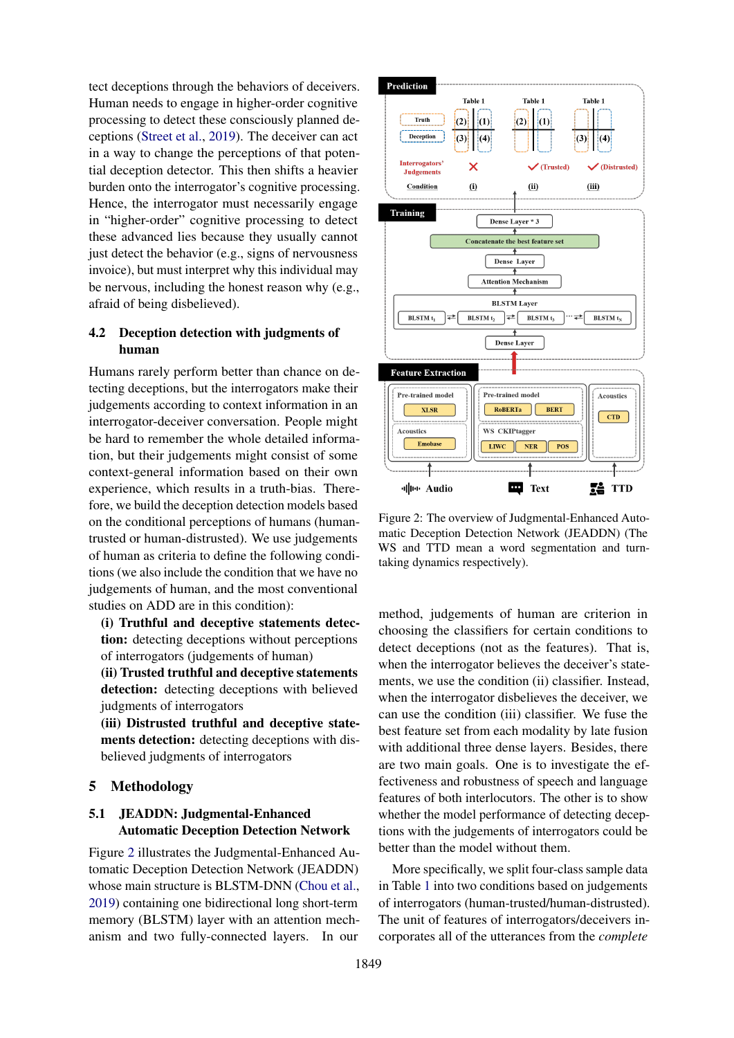tect deceptions through the behaviors of deceivers. Human needs to engage in higher-order cognitive processing to detect these consciously planned deceptions [\(Street et al.,](#page-10-14) [2019\)](#page-10-14). The deceiver can act in a way to change the perceptions of that potential deception detector. This then shifts a heavier burden onto the interrogator's cognitive processing. Hence, the interrogator must necessarily engage in "higher-order" cognitive processing to detect these advanced lies because they usually cannot just detect the behavior (e.g., signs of nervousness invoice), but must interpret why this individual may be nervous, including the honest reason why (e.g., afraid of being disbelieved).

# 4.2 Deception detection with judgments of human

Humans rarely perform better than chance on detecting deceptions, but the interrogators make their judgements according to context information in an interrogator-deceiver conversation. People might be hard to remember the whole detailed information, but their judgements might consist of some context-general information based on their own experience, which results in a truth-bias. Therefore, we build the deception detection models based on the conditional perceptions of humans (humantrusted or human-distrusted). We use judgements of human as criteria to define the following conditions (we also include the condition that we have no judgements of human, and the most conventional studies on ADD are in this condition):

(i) Truthful and deceptive statements detection: detecting deceptions without perceptions of interrogators (judgements of human)

(ii) Trusted truthful and deceptive statements detection: detecting deceptions with believed judgments of interrogators

(iii) Distrusted truthful and deceptive statements detection: detecting deceptions with disbelieved judgments of interrogators

### 5 Methodology

### 5.1 JEADDN: Judgmental-Enhanced Automatic Deception Detection Network

Figure [2](#page-3-0) illustrates the Judgmental-Enhanced Automatic Deception Detection Network (JEADDN) whose main structure is BLSTM-DNN [\(Chou et al.,](#page-9-7) [2019\)](#page-9-7) containing one bidirectional long short-term memory (BLSTM) layer with an attention mechanism and two fully-connected layers. In our

<span id="page-3-0"></span>

Figure 2: The overview of Judgmental-Enhanced Automatic Deception Detection Network (JEADDN) (The WS and TTD mean a word segmentation and turntaking dynamics respectively).

method, judgements of human are criterion in choosing the classifiers for certain conditions to detect deceptions (not as the features). That is, when the interrogator believes the deceiver's statements, we use the condition (ii) classifier. Instead, when the interrogator disbelieves the deceiver, we can use the condition (iii) classifier. We fuse the best feature set from each modality by late fusion with additional three dense layers. Besides, there are two main goals. One is to investigate the effectiveness and robustness of speech and language features of both interlocutors. The other is to show whether the model performance of detecting deceptions with the judgements of interrogators could be better than the model without them.

More specifically, we split four-class sample data in Table [1](#page-2-0) into two conditions based on judgements of interrogators (human-trusted/human-distrusted). The unit of features of interrogators/deceivers incorporates all of the utterances from the *complete*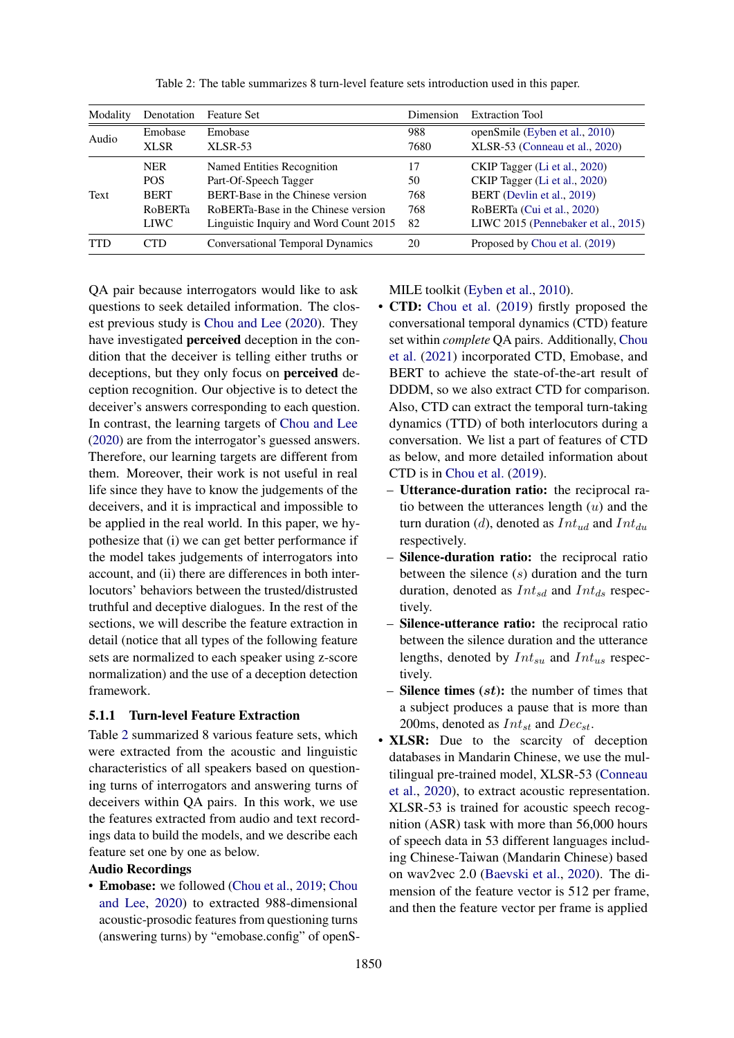<span id="page-4-0"></span>

| Denotation     | <b>Feature Set</b>                      | Dimension | <b>Extraction Tool</b>              |
|----------------|-----------------------------------------|-----------|-------------------------------------|
| Emobase        | Emobase                                 | 988       | openSmile (Eyben et al., 2010)      |
| <b>XLSR</b>    | $XLSR-53$                               | 7680      | XLSR-53 (Conneau et al., 2020)      |
| <b>NER</b>     | Named Entities Recognition              | 17        | CKIP Tagger (Li et al., 2020)       |
| <b>POS</b>     | Part-Of-Speech Tagger                   | 50        | CKIP Tagger (Li et al., 2020)       |
| <b>BERT</b>    | BERT-Base in the Chinese version        | 768       | BERT (Devlin et al., 2019)          |
| <b>RoBERTa</b> | RoBERTa-Base in the Chinese version     | 768       | RoBERTa (Cui et al., 2020)          |
| <b>LIWC</b>    | Linguistic Inquiry and Word Count 2015  | 82        | LIWC 2015 (Pennebaker et al., 2015) |
| CTD.           | <b>Conversational Temporal Dynamics</b> | 20        | Proposed by Chou et al. (2019)      |
|                |                                         |           |                                     |

Table 2: The table summarizes 8 turn-level feature sets introduction used in this paper.

QA pair because interrogators would like to ask questions to seek detailed information. The closest previous study is [Chou and Lee](#page-9-14) [\(2020\)](#page-9-14). They have investigated perceived deception in the condition that the deceiver is telling either truths or deceptions, but they only focus on perceived deception recognition. Our objective is to detect the deceiver's answers corresponding to each question. In contrast, the learning targets of [Chou and Lee](#page-9-14) [\(2020\)](#page-9-14) are from the interrogator's guessed answers. Therefore, our learning targets are different from them. Moreover, their work is not useful in real life since they have to know the judgements of the deceivers, and it is impractical and impossible to be applied in the real world. In this paper, we hypothesize that (i) we can get better performance if the model takes judgements of interrogators into account, and (ii) there are differences in both interlocutors' behaviors between the trusted/distrusted truthful and deceptive dialogues. In the rest of the sections, we will describe the feature extraction in detail (notice that all types of the following feature sets are normalized to each speaker using z-score normalization) and the use of a deception detection framework.

#### 5.1.1 Turn-level Feature Extraction

Table [2](#page-4-0) summarized 8 various feature sets, which were extracted from the acoustic and linguistic characteristics of all speakers based on questioning turns of interrogators and answering turns of deceivers within QA pairs. In this work, we use the features extracted from audio and text recordings data to build the models, and we describe each feature set one by one as below.

### Audio Recordings

• Emobase: we followed [\(Chou et al.,](#page-9-7) [2019;](#page-9-7) [Chou](#page-9-14) [and Lee,](#page-9-14) [2020\)](#page-9-14) to extracted 988-dimensional acoustic-prosodic features from questioning turns (answering turns) by "emobase.config" of openS- MILE toolkit [\(Eyben et al.,](#page-9-16) [2010\)](#page-9-16).

- CTD: [Chou et al.](#page-9-7) [\(2019\)](#page-9-7) firstly proposed the conversational temporal dynamics (CTD) feature set within *complete* QA pairs. Additionally, [Chou](#page-9-11) [et al.](#page-9-11) [\(2021\)](#page-9-11) incorporated CTD, Emobase, and BERT to achieve the state-of-the-art result of DDDM, so we also extract CTD for comparison. Also, CTD can extract the temporal turn-taking dynamics (TTD) of both interlocutors during a conversation. We list a part of features of CTD as below, and more detailed information about CTD is in [Chou et al.](#page-9-7) [\(2019\)](#page-9-7).
	- Utterance-duration ratio: the reciprocal ratio between the utterances length  $(u)$  and the turn duration (d), denoted as  $Int_{ud}$  and  $Int_{du}$ respectively.
	- Silence-duration ratio: the reciprocal ratio between the silence (s) duration and the turn duration, denoted as  $Int_{sd}$  and  $Int_{ds}$  respectively.
	- Silence-utterance ratio: the reciprocal ratio between the silence duration and the utterance lengths, denoted by  $Int_{su}$  and  $Int_{us}$  respectively.
	- **Silence times**  $(st)$ : the number of times that a subject produces a pause that is more than 200ms, denoted as  $Int_{st}$  and  $Dec_{st}$ .
- XLSR: Due to the scarcity of deception databases in Mandarin Chinese, we use the multilingual pre-trained model, XLSR-53 [\(Conneau](#page-9-17) [et al.,](#page-9-17) [2020\)](#page-9-17), to extract acoustic representation. XLSR-53 is trained for acoustic speech recognition (ASR) task with more than 56,000 hours of speech data in 53 different languages including Chinese-Taiwan (Mandarin Chinese) based on wav2vec 2.0 [\(Baevski et al.,](#page-9-20) [2020\)](#page-9-20). The dimension of the feature vector is 512 per frame, and then the feature vector per frame is applied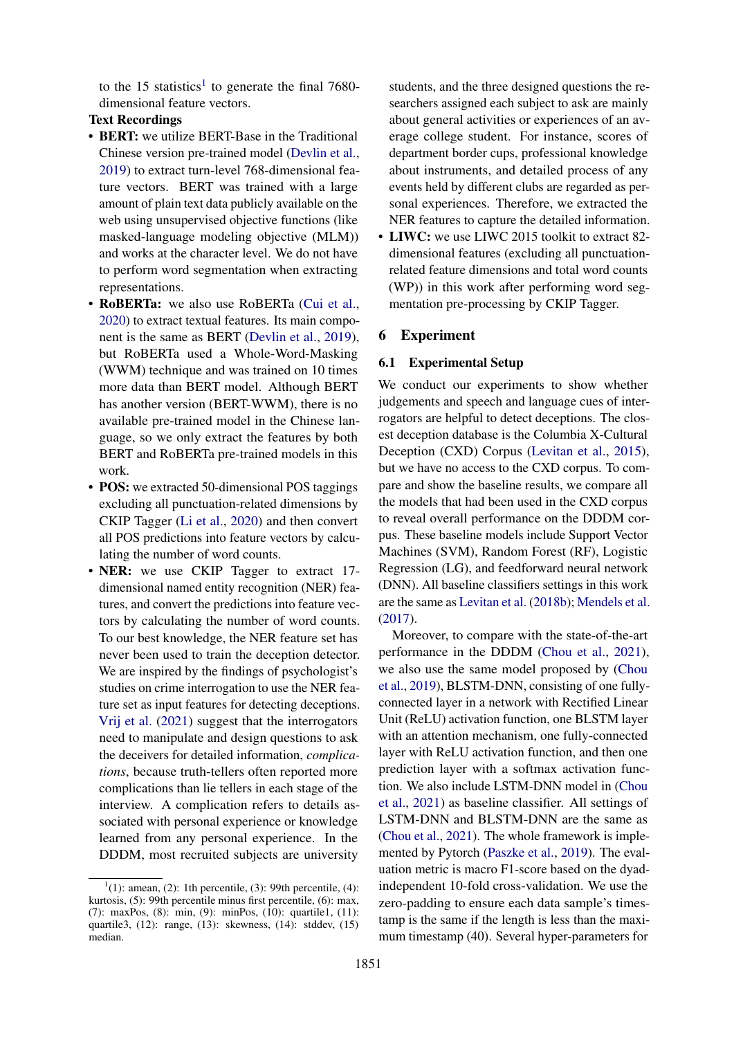to the [1](#page-5-0)5 statistics<sup>1</sup> to generate the final 7680dimensional feature vectors.

# Text Recordings

- BERT: we utilize BERT-Base in the Traditional Chinese version pre-trained model [\(Devlin et al.,](#page-9-18) [2019\)](#page-9-18) to extract turn-level 768-dimensional feature vectors. BERT was trained with a large amount of plain text data publicly available on the web using unsupervised objective functions (like masked-language modeling objective (MLM)) and works at the character level. We do not have to perform word segmentation when extracting representations.
- RoBERTa: we also use RoBERTa [\(Cui et al.,](#page-9-19) [2020\)](#page-9-19) to extract textual features. Its main component is the same as BERT [\(Devlin et al.,](#page-9-18) [2019\)](#page-9-18), but RoBERTa used a Whole-Word-Masking (WWM) technique and was trained on 10 times more data than BERT model. Although BERT has another version (BERT-WWM), there is no available pre-trained model in the Chinese language, so we only extract the features by both BERT and RoBERTa pre-trained models in this work.
- **POS:** we extracted 50-dimensional POS taggings excluding all punctuation-related dimensions by CKIP Tagger [\(Li et al.,](#page-10-15) [2020\)](#page-10-15) and then convert all POS predictions into feature vectors by calculating the number of word counts.
- NER: we use CKIP Tagger to extract 17dimensional named entity recognition (NER) features, and convert the predictions into feature vectors by calculating the number of word counts. To our best knowledge, the NER feature set has never been used to train the deception detector. We are inspired by the findings of psychologist's studies on crime interrogation to use the NER feature set as input features for detecting deceptions. [Vrij et al.](#page-11-8) [\(2021\)](#page-11-8) suggest that the interrogators need to manipulate and design questions to ask the deceivers for detailed information, *complications*, because truth-tellers often reported more complications than lie tellers in each stage of the interview. A complication refers to details associated with personal experience or knowledge learned from any personal experience. In the DDDM, most recruited subjects are university

students, and the three designed questions the researchers assigned each subject to ask are mainly about general activities or experiences of an average college student. For instance, scores of department border cups, professional knowledge about instruments, and detailed process of any events held by different clubs are regarded as personal experiences. Therefore, we extracted the NER features to capture the detailed information.

• LIWC: we use LIWC 2015 toolkit to extract 82 dimensional features (excluding all punctuationrelated feature dimensions and total word counts (WP)) in this work after performing word segmentation pre-processing by CKIP Tagger.

#### 6 Experiment

#### 6.1 Experimental Setup

We conduct our experiments to show whether judgements and speech and language cues of interrogators are helpful to detect deceptions. The closest deception database is the Columbia X-Cultural Deception (CXD) Corpus [\(Levitan et al.,](#page-10-17) [2015\)](#page-10-17), but we have no access to the CXD corpus. To compare and show the baseline results, we compare all the models that had been used in the CXD corpus to reveal overall performance on the DDDM corpus. These baseline models include Support Vector Machines (SVM), Random Forest (RF), Logistic Regression (LG), and feedforward neural network (DNN). All baseline classifiers settings in this work are the same as [Levitan et al.](#page-10-1) [\(2018b\)](#page-10-1); [Mendels et al.](#page-10-18) [\(2017\)](#page-10-18).

Moreover, to compare with the state-of-the-art performance in the DDDM [\(Chou et al.,](#page-9-11) [2021\)](#page-9-11), we also use the same model proposed by [\(Chou](#page-9-7) [et al.,](#page-9-7) [2019\)](#page-9-7), BLSTM-DNN, consisting of one fullyconnected layer in a network with Rectified Linear Unit (ReLU) activation function, one BLSTM layer with an attention mechanism, one fully-connected layer with ReLU activation function, and then one prediction layer with a softmax activation function. We also include LSTM-DNN model in [\(Chou](#page-9-11) [et al.,](#page-9-11) [2021\)](#page-9-11) as baseline classifier. All settings of LSTM-DNN and BLSTM-DNN are the same as [\(Chou et al.,](#page-9-11) [2021\)](#page-9-11). The whole framework is implemented by Pytorch [\(Paszke et al.,](#page-10-19) [2019\)](#page-10-19). The evaluation metric is macro F1-score based on the dyadindependent 10-fold cross-validation. We use the zero-padding to ensure each data sample's timestamp is the same if the length is less than the maximum timestamp (40). Several hyper-parameters for

<span id="page-5-0"></span> $<sup>1</sup>(1)$ : amean, (2): 1th percentile, (3): 99th percentile, (4):</sup> kurtosis, (5): 99th percentile minus first percentile, (6): max, (7): maxPos, (8): min, (9): minPos, (10): quartile1, (11): quartile3, (12): range, (13): skewness, (14): stddev, (15) median.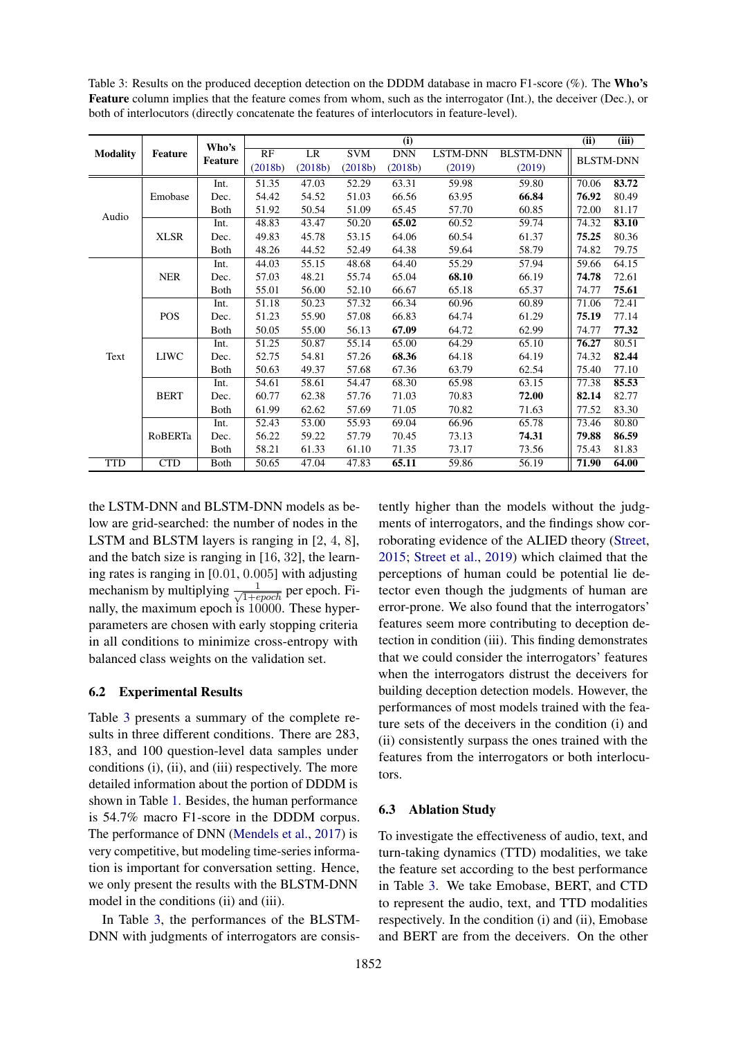<span id="page-6-0"></span>Table 3: Results on the produced deception detection on the DDDM database in macro F1-score (%). The Who's Feature column implies that the feature comes from whom, such as the interrogator (Int.), the deceiver (Dec.), or both of interlocutors (directly concatenate the features of interlocutors in feature-level).

|                 |                | Who's          | (i)     |         |            |            |                 |                  |       | (iii)            |
|-----------------|----------------|----------------|---------|---------|------------|------------|-----------------|------------------|-------|------------------|
| <b>Modality</b> | <b>Feature</b> |                | RF      | LR      | <b>SVM</b> | <b>DNN</b> | <b>LSTM-DNN</b> | <b>BLSTM-DNN</b> |       | <b>BLSTM-DNN</b> |
|                 |                | <b>Feature</b> | (2018b) | (2018b) | (2018b)    | (2018b)    | (2019)          | (2019)           |       |                  |
|                 |                | Int.           | 51.35   | 47.03   | 52.29      | 63.31      | 59.98           | 59.80            | 70.06 | 83.72            |
|                 | Emobase        | Dec.           | 54.42   | 54.52   | 51.03      | 66.56      | 63.95           | 66.84            | 76.92 | 80.49            |
|                 |                | Both           | 51.92   | 50.54   | 51.09      | 65.45      | 57.70           | 60.85            | 72.00 | 81.17            |
| Audio           |                | Int.           | 48.83   | 43.47   | 50.20      | 65.02      | 60.52           | 59.74            | 74.32 | 83.10            |
|                 | <b>XLSR</b>    | Dec.           | 49.83   | 45.78   | 53.15      | 64.06      | 60.54           | 61.37            | 75.25 | 80.36            |
|                 |                | <b>B</b> oth   | 48.26   | 44.52   | 52.49      | 64.38      | 59.64           | 58.79            | 74.82 | 79.75            |
|                 |                | Int.           | 44.03   | 55.15   | 48.68      | 64.40      | 55.29           | 57.94            | 59.66 | 64.15            |
| Text            | <b>NER</b>     | Dec.           | 57.03   | 48.21   | 55.74      | 65.04      | 68.10           | 66.19            | 74.78 | 72.61            |
|                 |                | Both           | 55.01   | 56.00   | 52.10      | 66.67      | 65.18           | 65.37            | 74.77 | 75.61            |
|                 | <b>POS</b>     | Int.           | 51.18   | 50.23   | 57.32      | 66.34      | 60.96           | 60.89            | 71.06 | 72.41            |
|                 |                | Dec.           | 51.23   | 55.90   | 57.08      | 66.83      | 64.74           | 61.29            | 75.19 | 77.14            |
|                 |                | <b>B</b> oth   | 50.05   | 55.00   | 56.13      | 67.09      | 64.72           | 62.99            | 74.77 | 77.32            |
|                 | <b>LIWC</b>    | Int.           | 51.25   | 50.87   | 55.14      | 65.00      | 64.29           | 65.10            | 76.27 | 80.51            |
|                 |                | Dec.           | 52.75   | 54.81   | 57.26      | 68.36      | 64.18           | 64.19            | 74.32 | 82.44            |
|                 |                | <b>B</b> oth   | 50.63   | 49.37   | 57.68      | 67.36      | 63.79           | 62.54            | 75.40 | 77.10            |
|                 | <b>BERT</b>    | Int.           | 54.61   | 58.61   | 54.47      | 68.30      | 65.98           | 63.15            | 77.38 | 85.53            |
|                 |                | Dec.           | 60.77   | 62.38   | 57.76      | 71.03      | 70.83           | 72.00            | 82.14 | 82.77            |
|                 |                | Both           | 61.99   | 62.62   | 57.69      | 71.05      | 70.82           | 71.63            | 77.52 | 83.30            |
|                 |                | Int.           | 52.43   | 53.00   | 55.93      | 69.04      | 66.96           | 65.78            | 73.46 | 80.80            |
|                 | RoBERTa        | Dec.           | 56.22   | 59.22   | 57.79      | 70.45      | 73.13           | 74.31            | 79.88 | 86.59            |
|                 |                | Both           | 58.21   | 61.33   | 61.10      | 71.35      | 73.17           | 73.56            | 75.43 | 81.83            |
| <b>TTD</b>      | <b>CTD</b>     | Both           | 50.65   | 47.04   | 47.83      | 65.11      | 59.86           | 56.19            | 71.90 | 64.00            |

the LSTM-DNN and BLSTM-DNN models as below are grid-searched: the number of nodes in the LSTM and BLSTM layers is ranging in [2, 4, 8], and the batch size is ranging in [16, 32], the learning rates is ranging in [0.01, 0.005] with adjusting mechanism by multiplying  $\frac{1}{\sqrt{1+epoch}}$  per epoch. Finally, the maximum epoch is 10000. These hyperparameters are chosen with early stopping criteria in all conditions to minimize cross-entropy with balanced class weights on the validation set.

#### 6.2 Experimental Results

Table [3](#page-6-0) presents a summary of the complete results in three different conditions. There are 283, 183, and 100 question-level data samples under conditions (i), (ii), and (iii) respectively. The more detailed information about the portion of DDDM is shown in Table [1.](#page-2-0) Besides, the human performance is 54.7% macro F1-score in the DDDM corpus. The performance of DNN [\(Mendels et al.,](#page-10-18) [2017\)](#page-10-18) is very competitive, but modeling time-series information is important for conversation setting. Hence, we only present the results with the BLSTM-DNN model in the conditions (ii) and (iii).

In Table [3,](#page-6-0) the performances of the BLSTM-DNN with judgments of interrogators are consistently higher than the models without the judgments of interrogators, and the findings show corroborating evidence of the ALIED theory [\(Street,](#page-11-9) [2015;](#page-11-9) [Street et al.,](#page-10-14) [2019\)](#page-10-14) which claimed that the perceptions of human could be potential lie detector even though the judgments of human are error-prone. We also found that the interrogators' features seem more contributing to deception detection in condition (iii). This finding demonstrates that we could consider the interrogators' features when the interrogators distrust the deceivers for building deception detection models. However, the performances of most models trained with the feature sets of the deceivers in the condition (i) and (ii) consistently surpass the ones trained with the features from the interrogators or both interlocutors.

#### 6.3 Ablation Study

To investigate the effectiveness of audio, text, and turn-taking dynamics (TTD) modalities, we take the feature set according to the best performance in Table [3.](#page-6-0) We take Emobase, BERT, and CTD to represent the audio, text, and TTD modalities respectively. In the condition (i) and (ii), Emobase and BERT are from the deceivers. On the other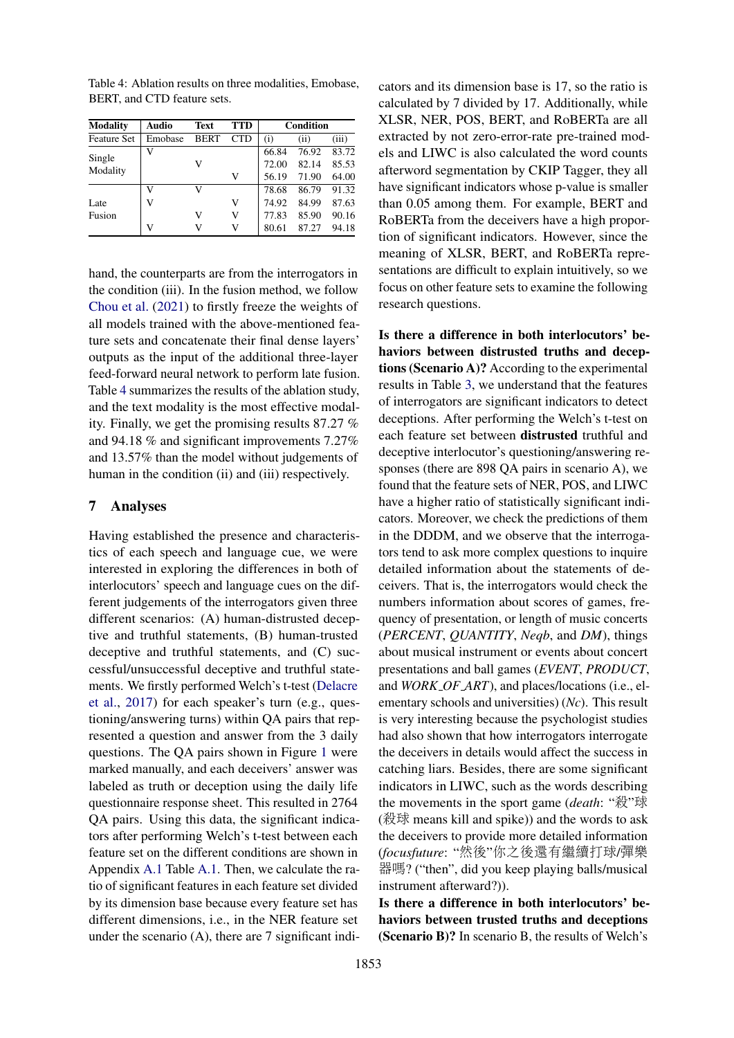<span id="page-7-0"></span>Table 4: Ablation results on three modalities, Emobase, BERT, and CTD feature sets.

| <b>Modality</b>    | Audio   | Text        | <b>TTD</b> | Condition |       |       |
|--------------------|---------|-------------|------------|-----------|-------|-------|
| <b>Feature Set</b> | Emobase | <b>BERT</b> | <b>CTD</b> | (i)       | (ii)  | (iii) |
|                    | v       |             |            | 66.84     | 76.92 | 83.72 |
| Single             |         | V           |            | 72.00     | 82.14 | 85.53 |
| Modality           |         |             | V          | 56.19     | 71.90 | 64.00 |
|                    | V       | V           |            | 78.68     | 86.79 | 91.32 |
| Late               | v       |             | v          | 74.92     | 84.99 | 87.63 |
| Fusion             |         | v           | v          | 77.83     | 85.90 | 90.16 |
|                    | V       | v           | v          | 80.61     | 87.27 | 94.18 |

hand, the counterparts are from the interrogators in the condition (iii). In the fusion method, we follow [Chou et al.](#page-9-11) [\(2021\)](#page-9-11) to firstly freeze the weights of all models trained with the above-mentioned feature sets and concatenate their final dense layers' outputs as the input of the additional three-layer feed-forward neural network to perform late fusion. Table [4](#page-7-0) summarizes the results of the ablation study, and the text modality is the most effective modality. Finally, we get the promising results 87.27 % and 94.18 % and significant improvements 7.27% and 13.57% than the model without judgements of human in the condition (ii) and (iii) respectively.

#### 7 Analyses

Having established the presence and characteristics of each speech and language cue, we were interested in exploring the differences in both of interlocutors' speech and language cues on the different judgements of the interrogators given three different scenarios: (A) human-distrusted deceptive and truthful statements, (B) human-trusted deceptive and truthful statements, and (C) successful/unsuccessful deceptive and truthful statements. We firstly performed Welch's t-test [\(Delacre](#page-9-8) [et al.,](#page-9-8) [2017\)](#page-9-8) for each speaker's turn (e.g., questioning/answering turns) within QA pairs that represented a question and answer from the 3 daily questions. The QA pairs shown in Figure [1](#page-2-1) were marked manually, and each deceivers' answer was labeled as truth or deception using the daily life questionnaire response sheet. This resulted in 2764 QA pairs. Using this data, the significant indicators after performing Welch's t-test between each feature set on the different conditions are shown in Appendix [A.1](#page-11-10) Table [A.1.](#page-12-0) Then, we calculate the ratio of significant features in each feature set divided by its dimension base because every feature set has different dimensions, i.e., in the NER feature set under the scenario (A), there are 7 significant indi-

cators and its dimension base is 17, so the ratio is calculated by 7 divided by 17. Additionally, while XLSR, NER, POS, BERT, and RoBERTa are all extracted by not zero-error-rate pre-trained models and LIWC is also calculated the word counts afterword segmentation by CKIP Tagger, they all have significant indicators whose p-value is smaller than 0.05 among them. For example, BERT and RoBERTa from the deceivers have a high proportion of significant indicators. However, since the meaning of XLSR, BERT, and RoBERTa representations are difficult to explain intuitively, so we focus on other feature sets to examine the following research questions.

Is there a difference in both interlocutors' behaviors between distrusted truths and deceptions (Scenario A)? According to the experimental results in Table [3,](#page-6-0) we understand that the features of interrogators are significant indicators to detect deceptions. After performing the Welch's t-test on each feature set between distrusted truthful and deceptive interlocutor's questioning/answering responses (there are 898 QA pairs in scenario A), we found that the feature sets of NER, POS, and LIWC have a higher ratio of statistically significant indicators. Moreover, we check the predictions of them in the DDDM, and we observe that the interrogators tend to ask more complex questions to inquire detailed information about the statements of deceivers. That is, the interrogators would check the numbers information about scores of games, frequency of presentation, or length of music concerts (*PERCENT*, *QUANTITY*, *Neqb*, and *DM*), things about musical instrument or events about concert presentations and ball games (*EVENT*, *PRODUCT*, and *WORK OF ART*), and places/locations (i.e., elementary schools and universities) (*Nc*). This result is very interesting because the psychologist studies had also shown that how interrogators interrogate the deceivers in details would affect the success in catching liars. Besides, there are some significant indicators in LIWC, such as the words describing the movements in the sport game (*death*: "殺"球 (殺球 means kill and spike)) and the words to ask the deceivers to provide more detailed information (*focusfuture*: "然後"你之後還有繼續打球/彈<sup>樂</sup> 器嗎? ("then", did you keep playing balls/musical instrument afterward?)).

Is there a difference in both interlocutors' behaviors between trusted truths and deceptions (Scenario B)? In scenario B, the results of Welch's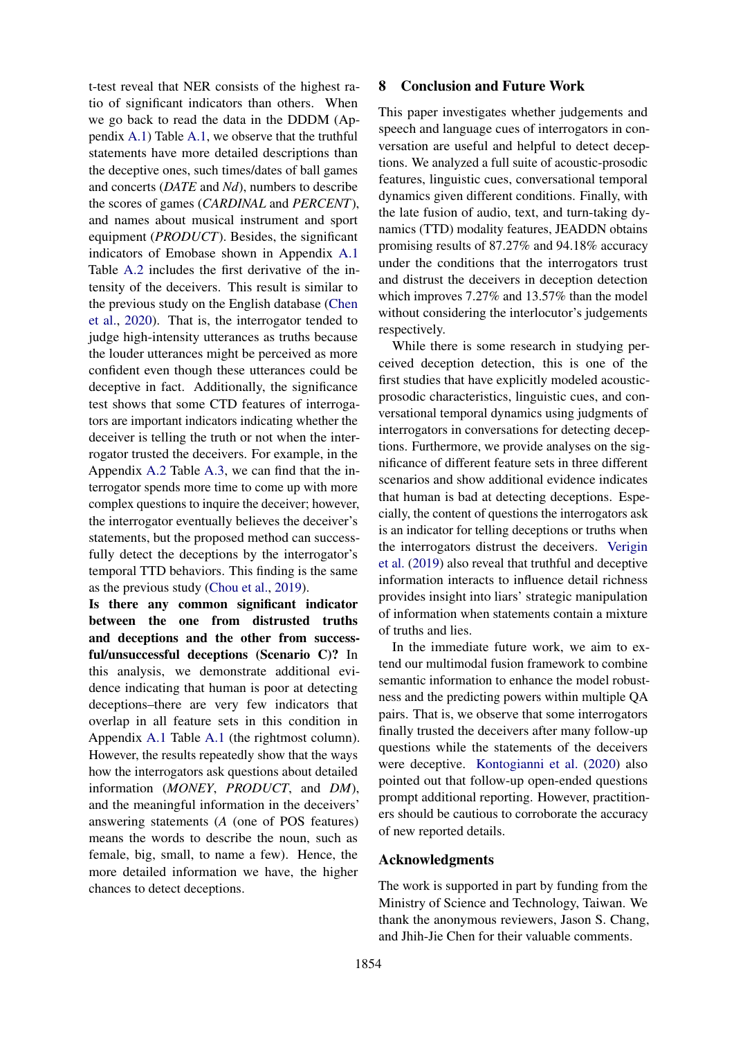t-test reveal that NER consists of the highest ratio of significant indicators than others. When we go back to read the data in the DDDM (Appendix [A.1\)](#page-11-10) Table [A.1,](#page-12-0) we observe that the truthful statements have more detailed descriptions than the deceptive ones, such times/dates of ball games and concerts (*DATE* and *Nd*), numbers to describe the scores of games (*CARDINAL* and *PERCENT*), and names about musical instrument and sport equipment (*PRODUCT*). Besides, the significant indicators of Emobase shown in Appendix [A.1](#page-11-10) Table [A.2](#page-13-0) includes the first derivative of the intensity of the deceivers. This result is similar to the previous study on the English database [\(Chen](#page-9-21) [et al.,](#page-9-21) [2020\)](#page-9-21). That is, the interrogator tended to judge high-intensity utterances as truths because the louder utterances might be perceived as more confident even though these utterances could be deceptive in fact. Additionally, the significance test shows that some CTD features of interrogators are important indicators indicating whether the deceiver is telling the truth or not when the interrogator trusted the deceivers. For example, in the Appendix [A.2](#page-11-11) Table [A.3,](#page-14-0) we can find that the interrogator spends more time to come up with more complex questions to inquire the deceiver; however, the interrogator eventually believes the deceiver's statements, but the proposed method can successfully detect the deceptions by the interrogator's temporal TTD behaviors. This finding is the same as the previous study [\(Chou et al.,](#page-9-7) [2019\)](#page-9-7).

Is there any common significant indicator between the one from distrusted truths and deceptions and the other from successful/unsuccessful deceptions (Scenario C)? In this analysis, we demonstrate additional evidence indicating that human is poor at detecting deceptions–there are very few indicators that overlap in all feature sets in this condition in Appendix [A.1](#page-11-10) Table [A.1](#page-12-0) (the rightmost column). However, the results repeatedly show that the ways how the interrogators ask questions about detailed information (*MONEY*, *PRODUCT*, and *DM*), and the meaningful information in the deceivers' answering statements (*A* (one of POS features) means the words to describe the noun, such as female, big, small, to name a few). Hence, the more detailed information we have, the higher chances to detect deceptions.

#### 8 Conclusion and Future Work

This paper investigates whether judgements and speech and language cues of interrogators in conversation are useful and helpful to detect deceptions. We analyzed a full suite of acoustic-prosodic features, linguistic cues, conversational temporal dynamics given different conditions. Finally, with the late fusion of audio, text, and turn-taking dynamics (TTD) modality features, JEADDN obtains promising results of 87.27% and 94.18% accuracy under the conditions that the interrogators trust and distrust the deceivers in deception detection which improves 7.27% and 13.57% than the model without considering the interlocutor's judgements respectively.

While there is some research in studying perceived deception detection, this is one of the first studies that have explicitly modeled acousticprosodic characteristics, linguistic cues, and conversational temporal dynamics using judgments of interrogators in conversations for detecting deceptions. Furthermore, we provide analyses on the significance of different feature sets in three different scenarios and show additional evidence indicates that human is bad at detecting deceptions. Especially, the content of questions the interrogators ask is an indicator for telling deceptions or truths when the interrogators distrust the deceivers. [Verigin](#page-11-12) [et al.](#page-11-12) [\(2019\)](#page-11-12) also reveal that truthful and deceptive information interacts to influence detail richness provides insight into liars' strategic manipulation of information when statements contain a mixture of truths and lies.

In the immediate future work, we aim to extend our multimodal fusion framework to combine semantic information to enhance the model robustness and the predicting powers within multiple QA pairs. That is, we observe that some interrogators finally trusted the deceivers after many follow-up questions while the statements of the deceivers were deceptive. [Kontogianni et al.](#page-10-20) [\(2020\)](#page-10-20) also pointed out that follow-up open-ended questions prompt additional reporting. However, practitioners should be cautious to corroborate the accuracy of new reported details.

#### Acknowledgments

The work is supported in part by funding from the Ministry of Science and Technology, Taiwan. We thank the anonymous reviewers, Jason S. Chang, and Jhih-Jie Chen for their valuable comments.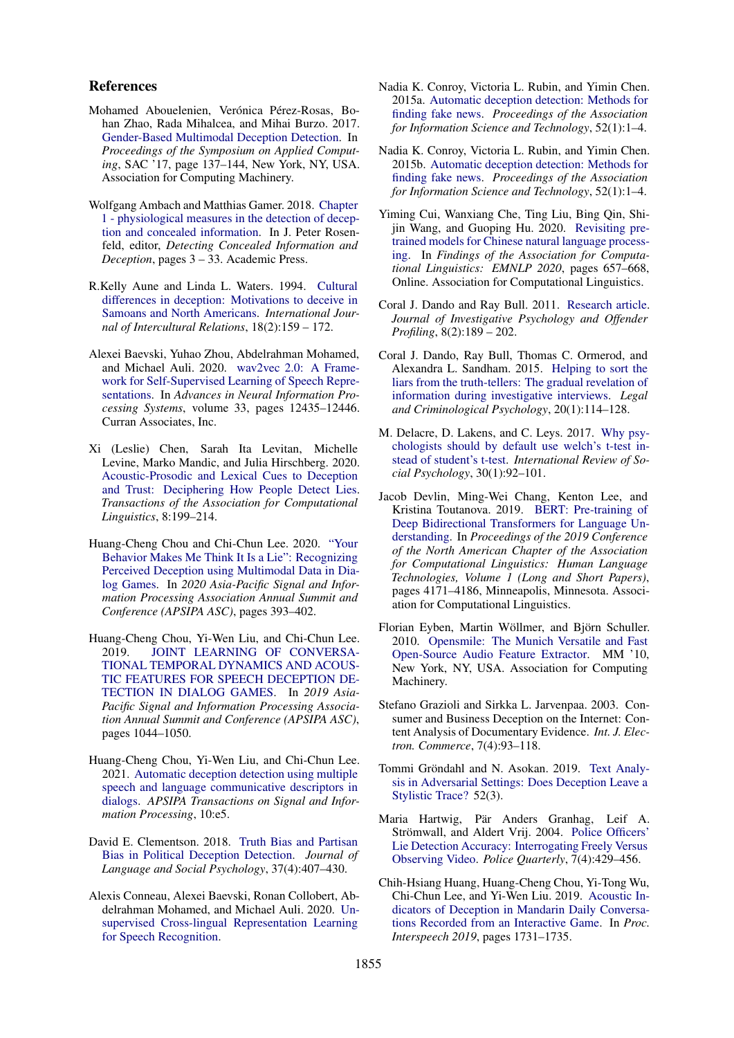#### References

- <span id="page-9-9"></span>Mohamed Abouelenien, Verónica Pérez-Rosas, Bohan Zhao, Rada Mihalcea, and Mihai Burzo. 2017. [Gender-Based Multimodal Deception Detection.](https://doi.org/10.1145/3019612.3019644) In *Proceedings of the Symposium on Applied Computing*, SAC '17, page 137–144, New York, NY, USA. Association for Computing Machinery.
- <span id="page-9-6"></span>Wolfgang Ambach and Matthias Gamer. 2018. [Chapter](https://doi.org/https://doi.org/10.1016/B978-0-12-812729-2.00001-X) [1 - physiological measures in the detection of decep](https://doi.org/https://doi.org/10.1016/B978-0-12-812729-2.00001-X)[tion and concealed information.](https://doi.org/https://doi.org/10.1016/B978-0-12-812729-2.00001-X) In J. Peter Rosenfeld, editor, *Detecting Concealed Information and Deception*, pages 3 – 33. Academic Press.
- <span id="page-9-5"></span>R.Kelly Aune and Linda L. Waters. 1994. [Cultural](https://doi.org/https://doi.org/10.1016/0147-1767(94)90026-4) [differences in deception: Motivations to deceive in](https://doi.org/https://doi.org/10.1016/0147-1767(94)90026-4) [Samoans and North Americans.](https://doi.org/https://doi.org/10.1016/0147-1767(94)90026-4) *International Journal of Intercultural Relations*, 18(2):159 – 172.
- <span id="page-9-20"></span>Alexei Baevski, Yuhao Zhou, Abdelrahman Mohamed, and Michael Auli. 2020. [wav2vec 2.0: A Frame](https://proceedings.neurips.cc/paper/2020/file/92d1e1eb1cd6f9fba3227870bb6d7f07-Paper.pdf)[work for Self-Supervised Learning of Speech Repre](https://proceedings.neurips.cc/paper/2020/file/92d1e1eb1cd6f9fba3227870bb6d7f07-Paper.pdf)[sentations.](https://proceedings.neurips.cc/paper/2020/file/92d1e1eb1cd6f9fba3227870bb6d7f07-Paper.pdf) In *Advances in Neural Information Processing Systems*, volume 33, pages 12435–12446. Curran Associates, Inc.
- <span id="page-9-21"></span>Xi (Leslie) Chen, Sarah Ita Levitan, Michelle Levine, Marko Mandic, and Julia Hirschberg. 2020. [Acoustic-Prosodic and Lexical Cues to Deception](https://doi.org/10.1162/tacl_a_00311) [and Trust: Deciphering How People Detect Lies.](https://doi.org/10.1162/tacl_a_00311) *Transactions of the Association for Computational Linguistics*, 8:199–214.
- <span id="page-9-14"></span>Huang-Cheng Chou and Chi-Chun Lee. 2020. ["Your](https://ieeexplore.ieee.org/abstract/document/9306359) [Behavior Makes Me Think It Is a Lie": Recognizing](https://ieeexplore.ieee.org/abstract/document/9306359) [Perceived Deception using Multimodal Data in Dia](https://ieeexplore.ieee.org/abstract/document/9306359)[log Games.](https://ieeexplore.ieee.org/abstract/document/9306359) In *2020 Asia-Pacific Signal and Information Processing Association Annual Summit and Conference (APSIPA ASC)*, pages 393–402.
- <span id="page-9-7"></span>Huang-Cheng Chou, Yi-Wen Liu, and Chi-Chun Lee. 2019. [JOINT LEARNING OF CONVERSA-](https://doi.org/10.1109/APSIPAASC47483.2019.9023050)[TIONAL TEMPORAL DYNAMICS AND ACOUS-](https://doi.org/10.1109/APSIPAASC47483.2019.9023050)[TIC FEATURES FOR SPEECH DECEPTION DE-](https://doi.org/10.1109/APSIPAASC47483.2019.9023050)[TECTION IN DIALOG GAMES.](https://doi.org/10.1109/APSIPAASC47483.2019.9023050) In *2019 Asia-Pacific Signal and Information Processing Association Annual Summit and Conference (APSIPA ASC)*, pages 1044–1050.
- <span id="page-9-11"></span>Huang-Cheng Chou, Yi-Wen Liu, and Chi-Chun Lee. 2021. [Automatic deception detection using multiple](https://doi.org/10.1017/ATSIP.2021.6) [speech and language communicative descriptors in](https://doi.org/10.1017/ATSIP.2021.6) [dialogs.](https://doi.org/10.1017/ATSIP.2021.6) *APSIPA Transactions on Signal and Information Processing*, 10:e5.
- <span id="page-9-0"></span>David E. Clementson. 2018. [Truth Bias and Partisan](https://doi.org/10.1177/0261927X17744004) [Bias in Political Deception Detection.](https://doi.org/10.1177/0261927X17744004) *Journal of Language and Social Psychology*, 37(4):407–430.
- <span id="page-9-17"></span>Alexis Conneau, Alexei Baevski, Ronan Collobert, Abdelrahman Mohamed, and Michael Auli. 2020. [Un](http://arxiv.org/abs/2006.13979)[supervised Cross-lingual Representation Learning](http://arxiv.org/abs/2006.13979) [for Speech Recognition.](http://arxiv.org/abs/2006.13979)
- <span id="page-9-1"></span>Nadia K. Conroy, Victoria L. Rubin, and Yimin Chen. 2015a. [Automatic deception detection: Methods for](https://doi.org/https://doi.org/10.1002/pra2.2015.145052010082) [finding fake news.](https://doi.org/https://doi.org/10.1002/pra2.2015.145052010082) *Proceedings of the Association for Information Science and Technology*, 52(1):1–4.
- <span id="page-9-4"></span>Nadia K. Conroy, Victoria L. Rubin, and Yimin Chen. 2015b. [Automatic deception detection: Methods for](https://doi.org/https://doi.org/10.1002/pra2.2015.145052010082) [finding fake news.](https://doi.org/https://doi.org/10.1002/pra2.2015.145052010082) *Proceedings of the Association for Information Science and Technology*, 52(1):1–4.
- <span id="page-9-19"></span>Yiming Cui, Wanxiang Che, Ting Liu, Bing Qin, Shijin Wang, and Guoping Hu. 2020. [Revisiting pre](https://doi.org/10.18653/v1/2020.findings-emnlp.58)[trained models for Chinese natural language process](https://doi.org/10.18653/v1/2020.findings-emnlp.58)[ing.](https://doi.org/10.18653/v1/2020.findings-emnlp.58) In *Findings of the Association for Computational Linguistics: EMNLP 2020*, pages 657–668, Online. Association for Computational Linguistics.
- <span id="page-9-12"></span>Coral J. Dando and Ray Bull. 2011. [Research article.](https://doi.org/10.1002/jip.145) *Journal of Investigative Psychology and Offender Profiling*, 8(2):189 – 202.
- <span id="page-9-13"></span>Coral J. Dando, Ray Bull, Thomas C. Ormerod, and Alexandra L. Sandham. 2015. [Helping to sort the](https://doi.org/10.1111/lcrp.12016) [liars from the truth-tellers: The gradual revelation of](https://doi.org/10.1111/lcrp.12016) [information during investigative interviews.](https://doi.org/10.1111/lcrp.12016) *Legal and Criminological Psychology*, 20(1):114–128.
- <span id="page-9-8"></span>M. Delacre, D. Lakens, and C. Leys. 2017. [Why psy](https://doi.org/10.5334/irsp.82)[chologists should by default use welch's t-test in](https://doi.org/10.5334/irsp.82)[stead of student's t-test.](https://doi.org/10.5334/irsp.82) *International Review of Social Psychology*, 30(1):92–101.
- <span id="page-9-18"></span>Jacob Devlin, Ming-Wei Chang, Kenton Lee, and Kristina Toutanova. 2019. [BERT: Pre-training of](https://doi.org/10.18653/v1/N19-1423) [Deep Bidirectional Transformers for Language Un](https://doi.org/10.18653/v1/N19-1423)[derstanding.](https://doi.org/10.18653/v1/N19-1423) In *Proceedings of the 2019 Conference of the North American Chapter of the Association for Computational Linguistics: Human Language Technologies, Volume 1 (Long and Short Papers)*, pages 4171–4186, Minneapolis, Minnesota. Association for Computational Linguistics.
- <span id="page-9-16"></span>Florian Eyben, Martin Wöllmer, and Björn Schuller. 2010. [Opensmile: The Munich Versatile and Fast](https://doi.org/10.1145/1873951.1874246) [Open-Source Audio Feature Extractor.](https://doi.org/10.1145/1873951.1874246) MM '10, New York, NY, USA. Association for Computing Machinery.
- <span id="page-9-2"></span>Stefano Grazioli and Sirkka L. Jarvenpaa. 2003. Consumer and Business Deception on the Internet: Content Analysis of Documentary Evidence. *Int. J. Electron. Commerce*, 7(4):93–118.
- <span id="page-9-10"></span>Tommi Gröndahl and N. Asokan. 2019. [Text Analy](https://doi.org/10.1145/3310331)[sis in Adversarial Settings: Does Deception Leave a](https://doi.org/10.1145/3310331) [Stylistic Trace?](https://doi.org/10.1145/3310331) 52(3).
- <span id="page-9-3"></span>Maria Hartwig, Pär Anders Granhag, Leif A. Strömwall, and Aldert Vrij. 2004. [Police Officers'](https://doi.org/10.1177/1098611104264748) [Lie Detection Accuracy: Interrogating Freely Versus](https://doi.org/10.1177/1098611104264748) [Observing Video.](https://doi.org/10.1177/1098611104264748) *Police Quarterly*, 7(4):429–456.
- <span id="page-9-15"></span>Chih-Hsiang Huang, Huang-Cheng Chou, Yi-Tong Wu, Chi-Chun Lee, and Yi-Wen Liu. 2019. [Acoustic In](https://doi.org/10.21437/Interspeech.2019-2216)[dicators of Deception in Mandarin Daily Conversa](https://doi.org/10.21437/Interspeech.2019-2216)[tions Recorded from an Interactive Game.](https://doi.org/10.21437/Interspeech.2019-2216) In *Proc. Interspeech 2019*, pages 1731–1735.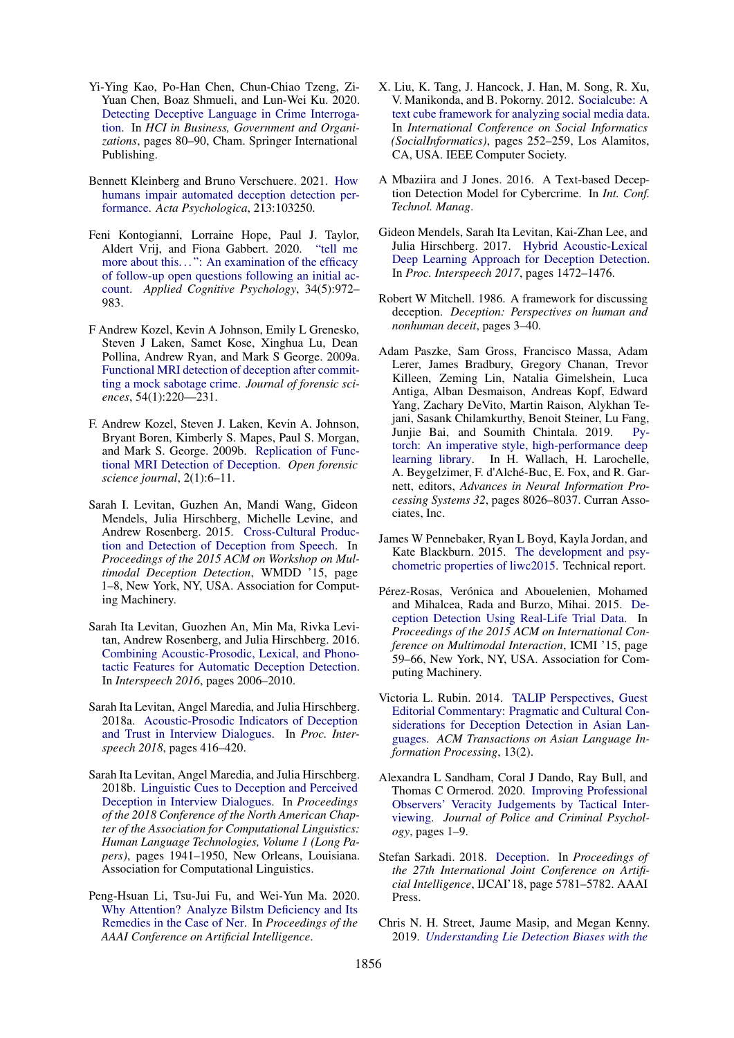- <span id="page-10-8"></span>Yi-Ying Kao, Po-Han Chen, Chun-Chiao Tzeng, Zi-Yuan Chen, Boaz Shmueli, and Lun-Wei Ku. 2020. [Detecting Deceptive Language in Crime Interroga](https://link.springer.com/chapter/10.1007/978-3-030-50341-3_7)[tion.](https://link.springer.com/chapter/10.1007/978-3-030-50341-3_7) In *HCI in Business, Government and Organizations*, pages 80–90, Cham. Springer International Publishing.
- <span id="page-10-11"></span>Bennett Kleinberg and Bruno Verschuere. 2021. [How](https://doi.org/https://doi.org/10.1016/j.actpsy.2020.103250) [humans impair automated deception detection per](https://doi.org/https://doi.org/10.1016/j.actpsy.2020.103250)[formance.](https://doi.org/https://doi.org/10.1016/j.actpsy.2020.103250) *Acta Psychologica*, 213:103250.
- <span id="page-10-20"></span>Feni Kontogianni, Lorraine Hope, Paul J. Taylor, Aldert Vrij, and Fiona Gabbert. 2020. ["tell me](https://doi.org/https://doi.org/10.1002/acp.3675) more about this...": An examination of the efficacy [of follow-up open questions following an initial ac](https://doi.org/https://doi.org/10.1002/acp.3675)[count.](https://doi.org/https://doi.org/10.1002/acp.3675) *Applied Cognitive Psychology*, 34(5):972– 983.
- <span id="page-10-5"></span>F Andrew Kozel, Kevin A Johnson, Emily L Grenesko, Steven J Laken, Samet Kose, Xinghua Lu, Dean Pollina, Andrew Ryan, and Mark S George. 2009a. [Functional MRI detection of deception after commit](https://doi.org/10.1111/j.1556-4029.2008.00927.x)[ting a mock sabotage crime.](https://doi.org/10.1111/j.1556-4029.2008.00927.x) *Journal of forensic sciences*, 54(1):220—231.
- <span id="page-10-6"></span>F. Andrew Kozel, Steven J. Laken, Kevin A. Johnson, Bryant Boren, Kimberly S. Mapes, Paul S. Morgan, and Mark S. George. 2009b. [Replication of Func](https://doi.org/10.2174/1874402800902010006)[tional MRI Detection of Deception.](https://doi.org/10.2174/1874402800902010006) *Open forensic science journal*, 2(1):6–11.
- <span id="page-10-17"></span>Sarah I. Levitan, Guzhen An, Mandi Wang, Gideon Mendels, Julia Hirschberg, Michelle Levine, and Andrew Rosenberg. 2015. [Cross-Cultural Produc](https://doi.org/10.1145/2823465.2823468)[tion and Detection of Deception from Speech.](https://doi.org/10.1145/2823465.2823468) In *Proceedings of the 2015 ACM on Workshop on Multimodal Deception Detection*, WMDD '15, page 1–8, New York, NY, USA. Association for Computing Machinery.
- <span id="page-10-7"></span>Sarah Ita Levitan, Guozhen An, Min Ma, Rivka Levitan, Andrew Rosenberg, and Julia Hirschberg. 2016. [Combining Acoustic-Prosodic, Lexical, and Phono](https://doi.org/10.21437/Interspeech.2016-1519)[tactic Features for Automatic Deception Detection.](https://doi.org/10.21437/Interspeech.2016-1519) In *Interspeech 2016*, pages 2006–2010.
- <span id="page-10-2"></span>Sarah Ita Levitan, Angel Maredia, and Julia Hirschberg. 2018a. [Acoustic-Prosodic Indicators of Deception](https://doi.org/10.21437/Interspeech.2018-2443) [and Trust in Interview Dialogues.](https://doi.org/10.21437/Interspeech.2018-2443) In *Proc. Interspeech 2018*, pages 416–420.
- <span id="page-10-1"></span>Sarah Ita Levitan, Angel Maredia, and Julia Hirschberg. 2018b. [Linguistic Cues to Deception and Perceived](https://doi.org/10.18653/v1/N18-1176) [Deception in Interview Dialogues.](https://doi.org/10.18653/v1/N18-1176) In *Proceedings of the 2018 Conference of the North American Chapter of the Association for Computational Linguistics: Human Language Technologies, Volume 1 (Long Papers)*, pages 1941–1950, New Orleans, Louisiana. Association for Computational Linguistics.
- <span id="page-10-15"></span>Peng-Hsuan Li, Tsu-Jui Fu, and Wei-Yun Ma. 2020. [Why Attention? Analyze Bilstm Deficiency and Its](https://doi.org/https://doi.org/10.1609/aaai.v34i05.6338) [Remedies in the Case of Ner.](https://doi.org/https://doi.org/10.1609/aaai.v34i05.6338) In *Proceedings of the AAAI Conference on Artificial Intelligence*.
- <span id="page-10-9"></span>X. Liu, K. Tang, J. Hancock, J. Han, M. Song, R. Xu, V. Manikonda, and B. Pokorny. 2012. [Socialcube: A](https://doi.org/10.1109/SocialInformatics.2012.87) [text cube framework for analyzing social media data.](https://doi.org/10.1109/SocialInformatics.2012.87) In *International Conference on Social Informatics (SocialInformatics)*, pages 252–259, Los Alamitos, CA, USA. IEEE Computer Society.
- <span id="page-10-0"></span>A Mbaziira and J Jones. 2016. A Text-based Deception Detection Model for Cybercrime. In *Int. Conf. Technol. Manag*.
- <span id="page-10-18"></span>Gideon Mendels, Sarah Ita Levitan, Kai-Zhan Lee, and Julia Hirschberg. 2017. [Hybrid Acoustic-Lexical](https://doi.org/10.21437/Interspeech.2017-1723) [Deep Learning Approach for Deception Detection.](https://doi.org/10.21437/Interspeech.2017-1723) In *Proc. Interspeech 2017*, pages 1472–1476.
- <span id="page-10-12"></span>Robert W Mitchell. 1986. A framework for discussing deception. *Deception: Perspectives on human and nonhuman deceit*, pages 3–40.
- <span id="page-10-19"></span>Adam Paszke, Sam Gross, Francisco Massa, Adam Lerer, James Bradbury, Gregory Chanan, Trevor Killeen, Zeming Lin, Natalia Gimelshein, Luca Antiga, Alban Desmaison, Andreas Kopf, Edward Yang, Zachary DeVito, Martin Raison, Alykhan Tejani, Sasank Chilamkurthy, Benoit Steiner, Lu Fang, Junjie Bai, and Soumith Chintala. 2019. [Py](http://papers.nips.cc/paper/9015-pytorch-an-imperative-style-high-performance-deep-learning-library.pdf)[torch: An imperative style, high-performance deep](http://papers.nips.cc/paper/9015-pytorch-an-imperative-style-high-performance-deep-learning-library.pdf) [learning library.](http://papers.nips.cc/paper/9015-pytorch-an-imperative-style-high-performance-deep-learning-library.pdf) In H. Wallach, H. Larochelle, A. Beygelzimer, F. d'Alché-Buc, E. Fox, and R. Garnett, editors, *Advances in Neural Information Processing Systems 32*, pages 8026–8037. Curran Associates, Inc.
- <span id="page-10-16"></span>James W Pennebaker, Ryan L Boyd, Kayla Jordan, and Kate Blackburn. 2015. [The development and psy](http://liwc.net/LIWC2007LanguageManual.pdf)[chometric properties of liwc2015.](http://liwc.net/LIWC2007LanguageManual.pdf) Technical report.
- <span id="page-10-3"></span>Pérez-Rosas, Verónica and Abouelenien, Mohamed and Mihalcea, Rada and Burzo, Mihai. 2015. [De](https://doi.org/10.1145/2818346.2820758)[ception Detection Using Real-Life Trial Data.](https://doi.org/10.1145/2818346.2820758) In *Proceedings of the 2015 ACM on International Conference on Multimodal Interaction*, ICMI '15, page 59–66, New York, NY, USA. Association for Computing Machinery.
- <span id="page-10-4"></span>Victoria L. Rubin. 2014. [TALIP Perspectives, Guest](https://doi.org/10.1145/2605292) [Editorial Commentary: Pragmatic and Cultural Con](https://doi.org/10.1145/2605292)[siderations for Deception Detection in Asian Lan](https://doi.org/10.1145/2605292)[guages.](https://doi.org/10.1145/2605292) *ACM Transactions on Asian Language Information Processing*, 13(2).
- <span id="page-10-10"></span>Alexandra L Sandham, Coral J Dando, Ray Bull, and Thomas C Ormerod. 2020. [Improving Professional](https://doi.org/https://doi.org/10.1007/s11896-020-09391-1) [Observers' Veracity Judgements by Tactical Inter](https://doi.org/https://doi.org/10.1007/s11896-020-09391-1)[viewing.](https://doi.org/https://doi.org/10.1007/s11896-020-09391-1) *Journal of Police and Criminal Psychology*, pages 1–9.
- <span id="page-10-13"></span>Stefan Sarkadi. 2018. [Deception.](https://doi.org/https://doi.org/10.24963/ijcai.2018/834) In *Proceedings of the 27th International Joint Conference on Artificial Intelligence*, IJCAI'18, page 5781–5782. AAAI Press.
- <span id="page-10-14"></span>Chris N. H. Street, Jaume Masip, and Megan Kenny. 2019. *[Understanding Lie Detection Biases with the](https://doi.org/10.1007/978-3-319-96334-1_12)*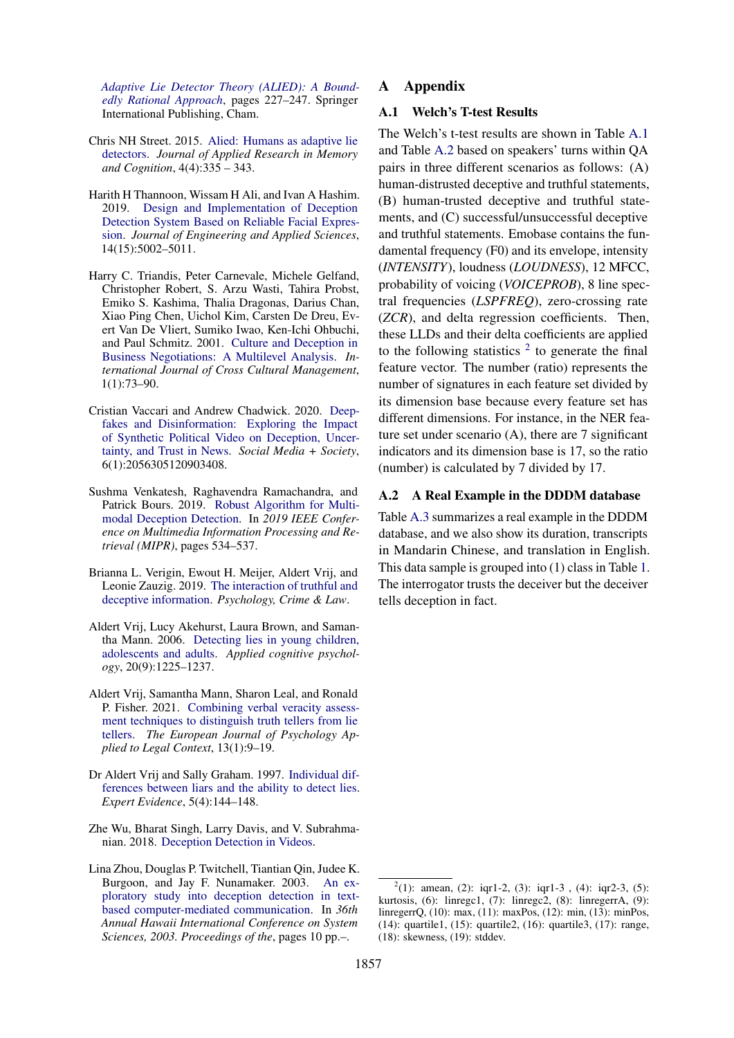*[Adaptive Lie Detector Theory \(ALIED\): A Bound](https://doi.org/10.1007/978-3-319-96334-1_12)[edly Rational Approach](https://doi.org/10.1007/978-3-319-96334-1_12)*, pages 227–247. Springer International Publishing, Cham.

- <span id="page-11-9"></span>Chris NH Street. 2015. [Alied: Humans as adaptive lie](https://doi.org/https://doi.org/10.1016/j.jarmac.2015.06.002) [detectors.](https://doi.org/https://doi.org/10.1016/j.jarmac.2015.06.002) *Journal of Applied Research in Memory and Cognition*, 4(4):335 – 343.
- <span id="page-11-5"></span>Harith H Thannoon, Wissam H Ali, and Ivan A Hashim. 2019. [Design and Implementation of Deception](https://doi.org/10.36478/jeasci.2019.5002.5011) [Detection System Based on Reliable Facial Expres](https://doi.org/10.36478/jeasci.2019.5002.5011)[sion.](https://doi.org/10.36478/jeasci.2019.5002.5011) *Journal of Engineering and Applied Sciences*, 14(15):5002–5011.
- <span id="page-11-1"></span>Harry C. Triandis, Peter Carnevale, Michele Gelfand, Christopher Robert, S. Arzu Wasti, Tahira Probst, Emiko S. Kashima, Thalia Dragonas, Darius Chan, Xiao Ping Chen, Uichol Kim, Carsten De Dreu, Evert Van De Vliert, Sumiko Iwao, Ken-Ichi Ohbuchi, and Paul Schmitz. 2001. [Culture and Deception in](https://doi.org/10.1177/147059580111008) [Business Negotiations: A Multilevel Analysis.](https://doi.org/10.1177/147059580111008) *International Journal of Cross Cultural Management*, 1(1):73–90.
- <span id="page-11-0"></span>Cristian Vaccari and Andrew Chadwick. 2020. [Deep](https://doi.org/10.1177/2056305120903408)[fakes and Disinformation: Exploring the Impact](https://doi.org/10.1177/2056305120903408) [of Synthetic Political Video on Deception, Uncer](https://doi.org/10.1177/2056305120903408)[tainty, and Trust in News.](https://doi.org/10.1177/2056305120903408) *Social Media + Society*, 6(1):2056305120903408.
- <span id="page-11-4"></span>Sushma Venkatesh, Raghavendra Ramachandra, and Patrick Bours. 2019. [Robust Algorithm for Multi](https://doi.org/10.1109/MIPR.2019.00108)[modal Deception Detection.](https://doi.org/10.1109/MIPR.2019.00108) In *2019 IEEE Conference on Multimedia Information Processing and Retrieval (MIPR)*, pages 534–537.
- <span id="page-11-12"></span>Brianna L. Verigin, Ewout H. Meijer, Aldert Vrij, and Leonie Zauzig. 2019. [The interaction of truthful and](https://doi.org/10.1080/1068316X.2019.1669596) [deceptive information.](https://doi.org/10.1080/1068316X.2019.1669596) *Psychology, Crime & Law*.
- <span id="page-11-3"></span>Aldert Vrij, Lucy Akehurst, Laura Brown, and Samantha Mann. 2006. [Detecting lies in young children,](https://doi.org/10.1002/acp.1278) [adolescents and adults.](https://doi.org/10.1002/acp.1278) *Applied cognitive psychology*, 20(9):1225–1237.
- <span id="page-11-8"></span>Aldert Vrij, Samantha Mann, Sharon Leal, and Ronald P. Fisher. 2021. [Combining verbal veracity assess](https://doi.org/10.5093/ejpalc2021a2)[ment techniques to distinguish truth tellers from lie](https://doi.org/10.5093/ejpalc2021a2) [tellers.](https://doi.org/10.5093/ejpalc2021a2) *The European Journal of Psychology Applied to Legal Context*, 13(1):9–19.
- <span id="page-11-2"></span>Dr Aldert Vrij and Sally Graham. 1997. [Individual dif](https://doi.org/10.1023/A:1008835204584)[ferences between liars and the ability to detect lies.](https://doi.org/10.1023/A:1008835204584) *Expert Evidence*, 5(4):144–148.
- <span id="page-11-7"></span>Zhe Wu, Bharat Singh, Larry Davis, and V. Subrahmanian. 2018. [Deception Detection in Videos.](https://aaai.org/ocs/index.php/AAAI/AAAI18/paper/view/16926/15870)
- <span id="page-11-6"></span>Lina Zhou, Douglas P. Twitchell, Tiantian Qin, Judee K. Burgoon, and Jay F. Nunamaker. 2003. [An ex](https://doi.org/10.1109/HICSS.2003.1173793)[ploratory study into deception detection in text](https://doi.org/10.1109/HICSS.2003.1173793)[based computer-mediated communication.](https://doi.org/10.1109/HICSS.2003.1173793) In *36th Annual Hawaii International Conference on System Sciences, 2003. Proceedings of the*, pages 10 pp.–.

### A Appendix

#### <span id="page-11-10"></span>A.1 Welch's T-test Results

The Welch's t-test results are shown in Table [A.1](#page-12-0) and Table [A.2](#page-13-0) based on speakers' turns within QA pairs in three different scenarios as follows: (A) human-distrusted deceptive and truthful statements, (B) human-trusted deceptive and truthful statements, and (C) successful/unsuccessful deceptive and truthful statements. Emobase contains the fundamental frequency (F0) and its envelope, intensity (*INTENSITY*), loudness (*LOUDNESS*), 12 MFCC, probability of voicing (*VOICEPROB*), 8 line spectral frequencies (*LSPFREQ*), zero-crossing rate (*ZCR*), and delta regression coefficients. Then, these LLDs and their delta coefficients are applied to the following statistics  $2$  to generate the final feature vector. The number (ratio) represents the number of signatures in each feature set divided by its dimension base because every feature set has different dimensions. For instance, in the NER feature set under scenario (A), there are 7 significant indicators and its dimension base is 17, so the ratio (number) is calculated by 7 divided by 17.

#### <span id="page-11-11"></span>A.2 A Real Example in the DDDM database

Table [A.3](#page-14-0) summarizes a real example in the DDDM database, and we also show its duration, transcripts in Mandarin Chinese, and translation in English. This data sample is grouped into (1) class in Table [1.](#page-2-0) The interrogator trusts the deceiver but the deceiver tells deception in fact.

<span id="page-11-13"></span> $2(1)$ : amean, (2): iqr1-2, (3): iqr1-3, (4): iqr2-3, (5): kurtosis, (6): linregc1, (7): linregc2, (8): linregerrA, (9): linregerrQ, (10): max, (11): maxPos, (12): min, (13): minPos, (14): quartile1, (15): quartile2, (16): quartile3, (17): range, (18): skewness, (19): stddev.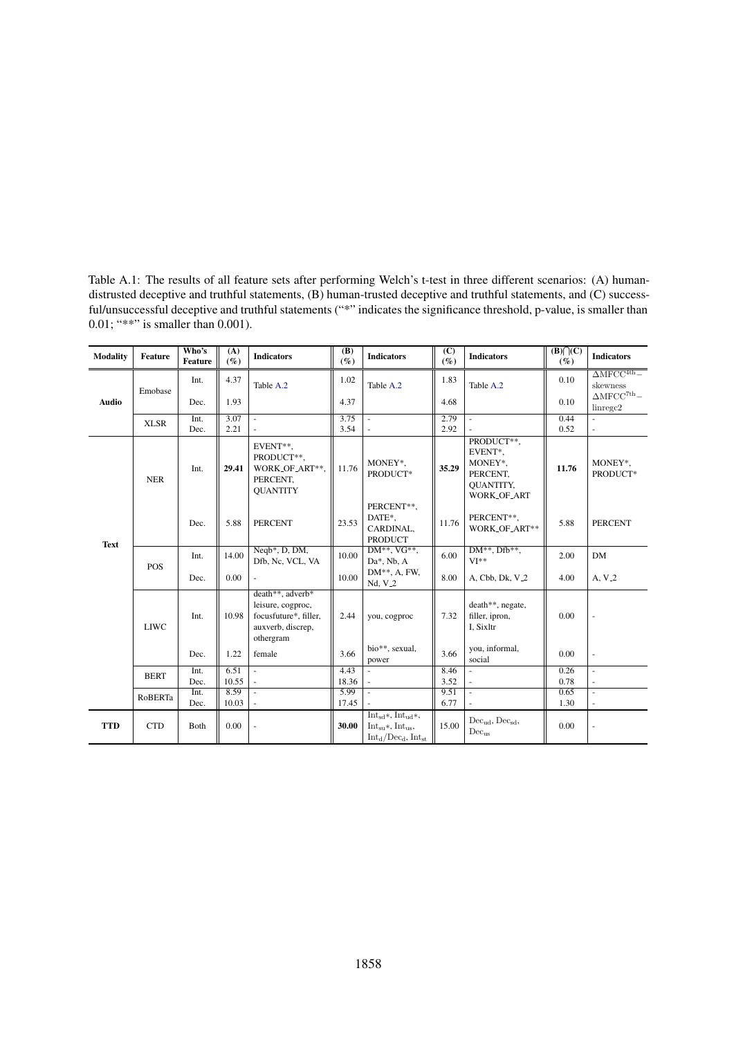<span id="page-12-0"></span>Table A.1: The results of all feature sets after performing Welch's t-test in three different scenarios: (A) humandistrusted deceptive and truthful statements, (B) human-trusted deceptive and truthful statements, and (C) successful/unsuccessful deceptive and truthful statements ("\*" indicates the significance threshold, p-value, is smaller than 0.01; "\*\*" is smaller than 0.001).

| <b>Modality</b> | Feature     | Who's<br><b>Feature</b> | (A)<br>$(\%)$ | <b>Indicators</b>                                                                                | (B)<br>$(\%)$ | <b>Indicators</b>                                                               | (C)<br>$(\%)$ | <b>Indicators</b>                                                               | $(B)\bigcap(C)$<br>$(\%)$ | <b>Indicators</b>                              |
|-----------------|-------------|-------------------------|---------------|--------------------------------------------------------------------------------------------------|---------------|---------------------------------------------------------------------------------|---------------|---------------------------------------------------------------------------------|---------------------------|------------------------------------------------|
|                 | Emobase     | Int.                    | 4.37          | Table A.2                                                                                        | 1.02          | Table A.2                                                                       | 1.83          | Table A.2                                                                       | 0.10                      | $\Delta \text{MFCC}^{\text{4th}}-$<br>skewness |
| <b>Audio</b>    |             | Dec.                    | 1.93          |                                                                                                  | 4.37          |                                                                                 | 4.68          |                                                                                 | 0.10                      | $\triangle MFCC^{7th}$ -<br>linregc2           |
|                 | <b>XLSR</b> | Int.                    | 3.07          | $\mathbf{r}$                                                                                     | 3.75          | $\overline{a}$                                                                  | 2.79          | ÷.                                                                              | 0.44                      | $\bar{a}$                                      |
|                 |             | Dec.                    | 2.21          |                                                                                                  | 3.54          |                                                                                 | 2.92          |                                                                                 | 0.52                      |                                                |
|                 | <b>NER</b>  | Int.                    | 29.41         | EVENT**.<br>PRODUCT**,<br>WORK_OF_ART**.<br>PERCENT,<br><b>QUANTITY</b>                          | 11.76         | MONEY*,<br>PRODUCT*                                                             | 35.29         | PRODUCT**,<br>EVENT*,<br>MONEY*,<br>PERCENT,<br><b>OUANTITY,</b><br>WORK_OF_ART | 11.76                     | MONEY*,<br>PRODUCT*                            |
| <b>Text</b>     |             | Dec.                    | 5.88          | <b>PERCENT</b>                                                                                   | 23.53         | PERCENT**,<br>DATE*,<br>CARDINAL,<br><b>PRODUCT</b>                             | 11.76         | PERCENT**.<br>WORK_OF_ART**                                                     | 5.88                      | <b>PERCENT</b>                                 |
|                 | POS         | Int.                    | 14.00         | Neqb*, D, DM,<br>Dfb, Nc, VCL, VA                                                                | 10.00         | $DM^{**}$ , VG**,<br>Da*, Nb, A                                                 | 6.00          | $DM**$ , $Dfb**$ ,<br>$VI**$                                                    | 2.00                      | <b>DM</b>                                      |
|                 |             | Dec.                    | 0.00          | ä,                                                                                               | 10.00         | $DM**$ , A, FW,<br>$Nd, V_2$                                                    | 8.00          | A, Cbb, Dk, V <sub>-2</sub>                                                     | 4.00                      | $A, V_2$                                       |
|                 | <b>LIWC</b> | Int.                    | 10.98         | death**, adverb*<br>leisure, cogproc,<br>focusfuture*, filler,<br>auxverb, discrep,<br>othergram | 2.44          | you, cogproc                                                                    | 7.32          | death**, negate,<br>filler, ipron,<br>I, Sixltr                                 | 0.00                      | ä,                                             |
|                 |             | Dec.                    | 1.22          | female                                                                                           | 3.66          | bio**, sexual,<br>power                                                         | 3.66          | you, informal,<br>social                                                        | 0.00                      | $\blacksquare$                                 |
|                 | <b>BERT</b> | Int.                    | 6.51          | ä,                                                                                               | 4.43          |                                                                                 | 8.46          |                                                                                 | 0.26                      |                                                |
|                 |             | Dec.                    | 10.55         |                                                                                                  | 18.36         |                                                                                 | 3.52          |                                                                                 | 0.78                      |                                                |
|                 | RoBERTa     | Int.                    | 8.59          |                                                                                                  | 5.99          |                                                                                 | 9.51          |                                                                                 | 0.65                      | $\bar{a}$                                      |
|                 |             | Dec.                    | 10.03         | $\sim$                                                                                           | 17.45         |                                                                                 | 6.77          |                                                                                 | 1.30                      |                                                |
| <b>TTD</b>      | <b>CTD</b>  | Both                    | 0.00          | $\overline{\phantom{a}}$                                                                         | 30.00         | $Int_{sd}*, Int_{ud}*,$<br>$Int_{su}$ , $Int_{us}$ ,<br>$Int_d/Dec_d, Int_{st}$ | 15.00         | $Dec_{ud}$ , $Dec_{sd}$ ,<br>$Dec_{us}$                                         | 0.00                      | $\blacksquare$                                 |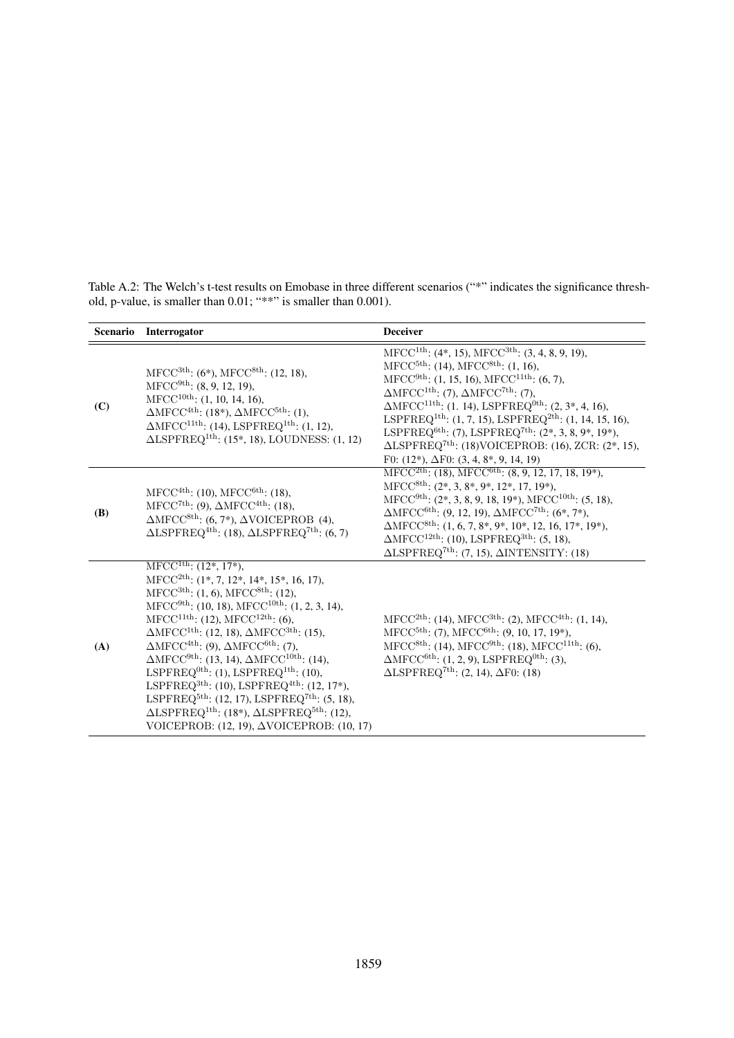|            | Scenario Interrogator                                                                                                                                                                                                                                                                                                                                                                                                                                                                                                                                                                                                                                                                                                                                                                                                                                                                          | <b>Deceiver</b>                                                                                                                                                                                                                                                                                                                                                                                                                                                                                                                                                                                                                                                             |
|------------|------------------------------------------------------------------------------------------------------------------------------------------------------------------------------------------------------------------------------------------------------------------------------------------------------------------------------------------------------------------------------------------------------------------------------------------------------------------------------------------------------------------------------------------------------------------------------------------------------------------------------------------------------------------------------------------------------------------------------------------------------------------------------------------------------------------------------------------------------------------------------------------------|-----------------------------------------------------------------------------------------------------------------------------------------------------------------------------------------------------------------------------------------------------------------------------------------------------------------------------------------------------------------------------------------------------------------------------------------------------------------------------------------------------------------------------------------------------------------------------------------------------------------------------------------------------------------------------|
| (C)        | MFCC <sup>3th</sup> : $(6^*)$ , MFCC <sup>8th</sup> : $(12, 18)$ ,<br>$MFCC9th$ : (8, 9, 12, 19),<br>$MFCC10th$ : (1, 10, 14, 16),<br>$\Delta \text{MFCC}^{\text{4th}}$ : (18*), $\Delta \text{MFCC}^{\text{5th}}$ : (1),<br>$\Delta \text{MFCC}^{11\text{th}}$ : (14), LSPFREQ <sup>1th</sup> : (1, 12),<br>$\triangle LSPFREG1th: (15*, 18), LOUDNESS: (1, 12)$                                                                                                                                                                                                                                                                                                                                                                                                                                                                                                                              | $MFCC1th: (4*, 15), MFCC3th: (3, 4, 8, 9, 19),$<br>$MFCC^{5th}$ : (14), $MFCC^{8th}$ : (1, 16),<br>$MFCC9th: (1, 15, 16), MFCC11th: (6, 7),$<br>$\Delta \text{MFCC}^{\text{1th}}$ : (7), $\Delta \text{MFCC}^{\text{7th}}$ : (7),<br>$\Delta \text{MFCC}^{11\text{th}}$ : (1. 14), LSPFREQ <sup>0th</sup> : (2, 3 <sup>*</sup> , 4, 16),<br>LSPFREQ <sup>1th</sup> : (1, 7, 15), LSPFREQ <sup>2th</sup> : (1, 14, 15, 16),<br>LSPFREQ <sup>6th</sup> : (7), LSPFREQ <sup>7th</sup> : (2 <sup>*</sup> , 3, 8, 9 <sup>*</sup> , 19 <sup>*</sup> ),<br>$\triangle LSPFREQ^{7th}$ : (18)VOICEPROB: (16), ZCR: (2*, 15),<br>F0: $(12^*)$ , $\Delta$ F0: $(3, 4, 8^*, 9, 14, 19)$ |
| <b>(B)</b> | $MFCC4th$ : (10), $MFCC6th$ : (18),<br>MFCC <sup>7th</sup> : (9), $\Delta MFCC^{4th}$ : (18),<br>$\Delta \text{MFCC}^{\text{8th}}$ : (6, 7*), $\Delta \text{VOICEPROB}$ (4),<br>$\triangle LSPFREG^{4th}$ : (18), $\triangle LSPFREG^{7th}$ : (6, 7)                                                                                                                                                                                                                                                                                                                                                                                                                                                                                                                                                                                                                                           | $MFCC2th: (18), MFCC6th: (8, 9, 12, 17, 18, 19*),$<br>$MFCC8th: (2*, 3, 8*, 9*, 12*, 17, 19*),$<br>$MFCC9th: (2*, 3, 8, 9, 18, 19*), MFCC10th: (5, 18),$<br>$\Delta \text{MFCC}^{\text{6th}}$ : (9, 12, 19), $\Delta \text{MFCC}^{\text{7th}}$ : (6*, 7*),<br>$\Delta \text{MFCC}^{\text{8th}}$ : (1, 6, 7, 8*, 9*, 10*, 12, 16, 17*, 19*),<br>$\Delta \text{MFCC}^{12\text{th}}$ : (10), LSPFREQ <sup>3th</sup> : (5, 18),<br>$\triangle LSPFREG7th: (7, 15), \triangle INTERSITY: (18)$                                                                                                                                                                                   |
| (A)        | $MFCC1th: (12*, 17*),$<br>MFCC <sup>2th</sup> : $(1^*, 7, 12^*, 14^*, 15^*, 16, 17)$ ,<br>$MFCC^{3th}$ : (1, 6), $MFCC^{8th}$ : (12),<br>$MFCC9th$ : (10, 18), MFCC <sup>10th</sup> : (1, 2, 3, 14),<br>$MFCC^{11th}$ : (12), $MFCC^{12th}$ : (6),<br>$\Delta \text{MFCC}^{\text{1th}}$ : (12, 18), $\Delta \text{MFCC}^{\text{3th}}$ : (15),<br>$\Delta \text{MFCC}^{\text{4th}}$ : (9), $\Delta \text{MFCC}^{\text{6th}}$ : (7),<br>$\Delta \text{MFCC}^{\text{9th}}$ : (13, 14), $\Delta \text{MFCC}^{\text{10th}}$ : (14),<br>LSPFREQ <sup>0th</sup> : (1), LSPFREQ <sup>1th</sup> : (10),<br>LSPFREQ <sup>3th</sup> : (10), LSPFREQ <sup>4th</sup> : (12, 17 <sup>*</sup> ),<br>LSPFREQ <sup>5th</sup> : (12, 17), LSPFREQ <sup>7th</sup> : (5, 18),<br>$\triangle LSPFREG^{1th}$ : (18*), $\triangle LSPFREG^{5th}$ : (12),<br>VOICEPROB: $(12, 19)$ , $\triangle$ VOICEPROB: $(10, 17)$ | $MFCC2th$ : (14), $MFCC3th$ : (2), $MFCC4th$ : (1, 14),<br>$MFCC^{5th}$ : (7), $MFCC^{6th}$ : (9, 10, 17, 19 <sup>*</sup> ),<br>$MFCC8th$ : (14), $MFCC9th$ : (18), $MFCC11th$ : (6),<br>$\Delta \text{MFCC}^{\text{6th}}$ : (1, 2, 9), LSPFREQ <sup>0th</sup> : (3),<br>$\Delta LSPFREG7th: (2, 14), \Delta F0: (18)$                                                                                                                                                                                                                                                                                                                                                      |

<span id="page-13-0"></span>Table A.2: The Welch's t-test results on Emobase in three different scenarios ("\*" indicates the significance threshold, p-value, is smaller than 0.01; "\*\*" is smaller than 0.001).